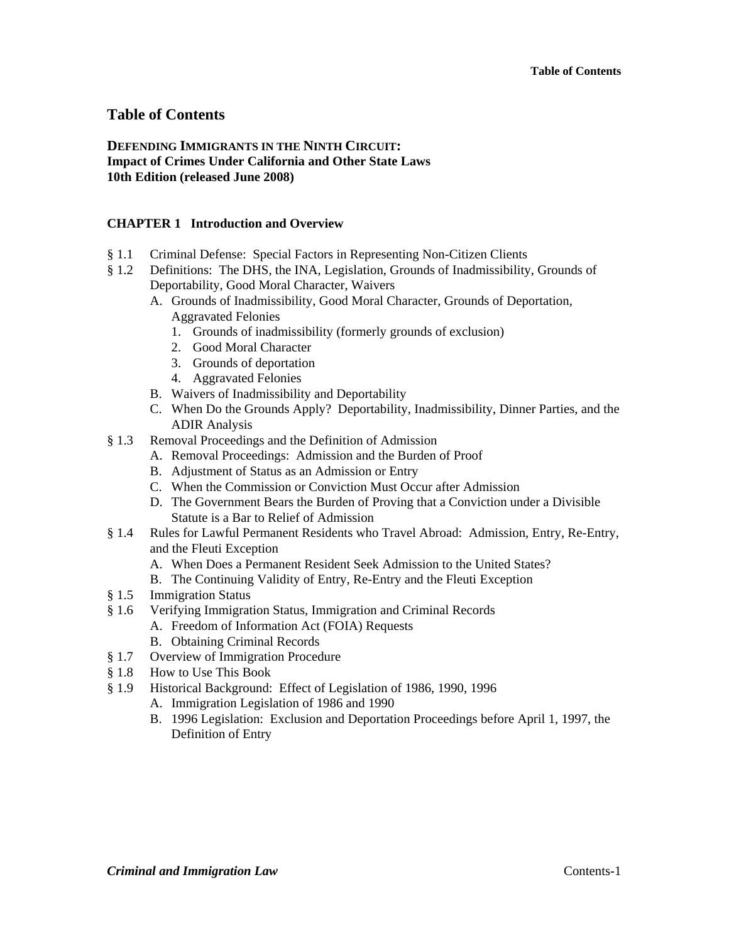## **DEFENDING IMMIGRANTS IN THE NINTH CIRCUIT: Impact of Crimes Under California and Other State Laws 10th Edition (released June 2008)**

## **CHAPTER 1 Introduction and Overview**

- § 1.1 Criminal Defense: Special Factors in Representing Non-Citizen Clients
- § 1.2 Definitions: The DHS, the INA, Legislation, Grounds of Inadmissibility, Grounds of Deportability, Good Moral Character, Waivers
	- A. Grounds of Inadmissibility, Good Moral Character, Grounds of Deportation, Aggravated Felonies
		- 1. Grounds of inadmissibility (formerly grounds of exclusion)
		- 2. Good Moral Character
		- 3. Grounds of deportation
		- 4. Aggravated Felonies
	- B. Waivers of Inadmissibility and Deportability
	- C. When Do the Grounds Apply? Deportability, Inadmissibility, Dinner Parties, and the ADIR Analysis
- § 1.3 Removal Proceedings and the Definition of Admission
	- A. Removal Proceedings: Admission and the Burden of Proof
	- B. Adjustment of Status as an Admission or Entry
	- C. When the Commission or Conviction Must Occur after Admission
	- D. The Government Bears the Burden of Proving that a Conviction under a Divisible Statute is a Bar to Relief of Admission
- § 1.4 Rules for Lawful Permanent Residents who Travel Abroad: Admission, Entry, Re-Entry, and the Fleuti Exception
	- A. When Does a Permanent Resident Seek Admission to the United States?
	- B. The Continuing Validity of Entry, Re-Entry and the Fleuti Exception
- § 1.5 Immigration Status
- § 1.6 Verifying Immigration Status, Immigration and Criminal Records
	- A. Freedom of Information Act (FOIA) Requests
	- B. Obtaining Criminal Records
- § 1.7 Overview of Immigration Procedure
- § 1.8 How to Use This Book
- § 1.9 Historical Background: Effect of Legislation of 1986, 1990, 1996
	- A. Immigration Legislation of 1986 and 1990
	- B. 1996 Legislation: Exclusion and Deportation Proceedings before April 1, 1997, the Definition of Entry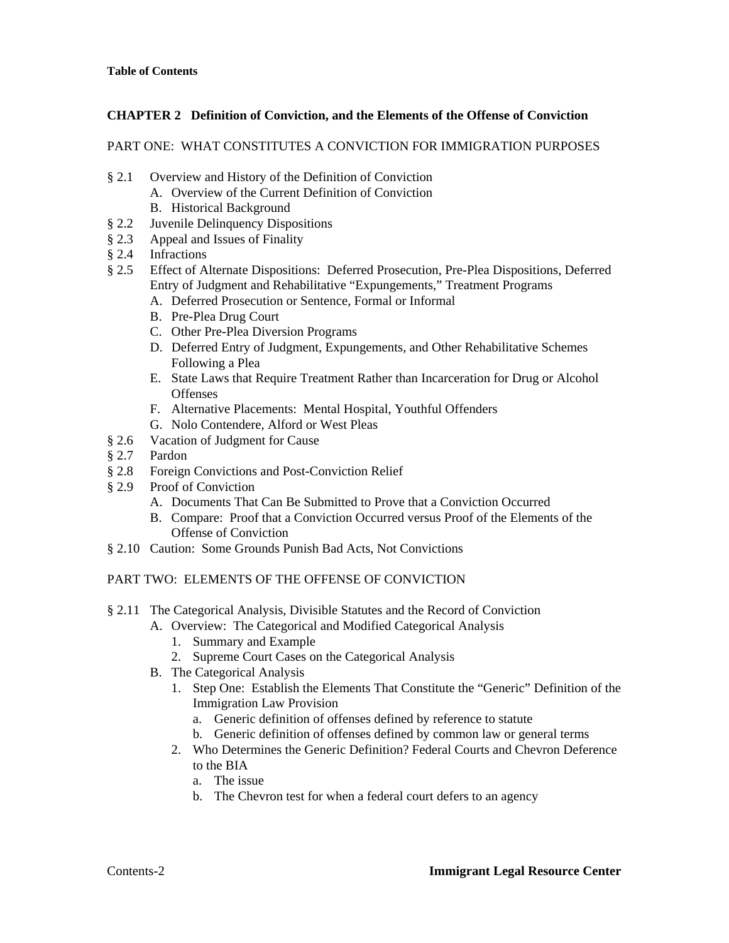## **CHAPTER 2 Definition of Conviction, and the Elements of the Offense of Conviction**

#### PART ONE: WHAT CONSTITUTES A CONVICTION FOR IMMIGRATION PURPOSES

- § 2.1 Overview and History of the Definition of Conviction
	- A. Overview of the Current Definition of Conviction
		- B. Historical Background
- § 2.2 Juvenile Delinquency Dispositions
- § 2.3 Appeal and Issues of Finality
- § 2.4 Infractions
- § 2.5 Effect of Alternate Dispositions: Deferred Prosecution, Pre-Plea Dispositions, Deferred Entry of Judgment and Rehabilitative "Expungements," Treatment Programs
	- A. Deferred Prosecution or Sentence, Formal or Informal
	- B. Pre-Plea Drug Court
	- C. Other Pre-Plea Diversion Programs
	- D. Deferred Entry of Judgment, Expungements, and Other Rehabilitative Schemes Following a Plea
	- E. State Laws that Require Treatment Rather than Incarceration for Drug or Alcohol **Offenses**
	- F. Alternative Placements: Mental Hospital, Youthful Offenders
	- G. Nolo Contendere, Alford or West Pleas
- § 2.6 Vacation of Judgment for Cause
- § 2.7 Pardon
- § 2.8 Foreign Convictions and Post-Conviction Relief
- § 2.9 Proof of Conviction
	- A. Documents That Can Be Submitted to Prove that a Conviction Occurred
	- B. Compare: Proof that a Conviction Occurred versus Proof of the Elements of the Offense of Conviction
- § 2.10 Caution: Some Grounds Punish Bad Acts, Not Convictions

## PART TWO: ELEMENTS OF THE OFFENSE OF CONVICTION

- § 2.11 The Categorical Analysis, Divisible Statutes and the Record of Conviction
	- A. Overview: The Categorical and Modified Categorical Analysis
		- 1. Summary and Example
		- 2. Supreme Court Cases on the Categorical Analysis
	- B. The Categorical Analysis
		- 1. Step One: Establish the Elements That Constitute the "Generic" Definition of the Immigration Law Provision
			- a. Generic definition of offenses defined by reference to statute
			- b. Generic definition of offenses defined by common law or general terms
		- 2. Who Determines the Generic Definition? Federal Courts and Chevron Deference to the BIA
			- a. The issue
			- b. The Chevron test for when a federal court defers to an agency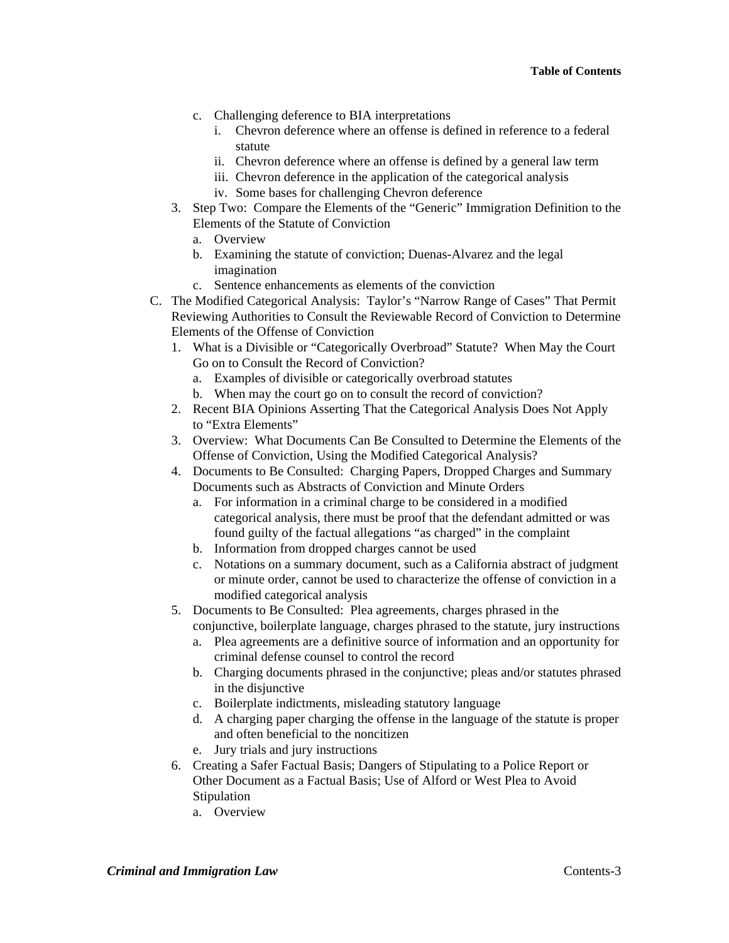- c. Challenging deference to BIA interpretations
	- i. Chevron deference where an offense is defined in reference to a federal statute
	- ii. Chevron deference where an offense is defined by a general law term
	- iii. Chevron deference in the application of the categorical analysis
	- iv. Some bases for challenging Chevron deference
- 3. Step Two: Compare the Elements of the "Generic" Immigration Definition to the Elements of the Statute of Conviction
	- a. Overview
	- b. Examining the statute of conviction; Duenas-Alvarez and the legal imagination
	- c. Sentence enhancements as elements of the conviction
- C. The Modified Categorical Analysis: Taylor's "Narrow Range of Cases" That Permit Reviewing Authorities to Consult the Reviewable Record of Conviction to Determine Elements of the Offense of Conviction
	- 1. What is a Divisible or "Categorically Overbroad" Statute? When May the Court Go on to Consult the Record of Conviction?
		- a. Examples of divisible or categorically overbroad statutes
		- b. When may the court go on to consult the record of conviction?
	- 2. Recent BIA Opinions Asserting That the Categorical Analysis Does Not Apply to "Extra Elements"
	- 3. Overview: What Documents Can Be Consulted to Determine the Elements of the Offense of Conviction, Using the Modified Categorical Analysis?
	- 4. Documents to Be Consulted: Charging Papers, Dropped Charges and Summary Documents such as Abstracts of Conviction and Minute Orders
		- a. For information in a criminal charge to be considered in a modified categorical analysis, there must be proof that the defendant admitted or was found guilty of the factual allegations "as charged" in the complaint
		- b. Information from dropped charges cannot be used
		- c. Notations on a summary document, such as a California abstract of judgment or minute order, cannot be used to characterize the offense of conviction in a modified categorical analysis
	- 5. Documents to Be Consulted: Plea agreements, charges phrased in the
		- conjunctive, boilerplate language, charges phrased to the statute, jury instructions
		- a. Plea agreements are a definitive source of information and an opportunity for criminal defense counsel to control the record
		- b. Charging documents phrased in the conjunctive; pleas and/or statutes phrased in the disjunctive
		- c. Boilerplate indictments, misleading statutory language
		- d. A charging paper charging the offense in the language of the statute is proper and often beneficial to the noncitizen
		- e. Jury trials and jury instructions
	- 6. Creating a Safer Factual Basis; Dangers of Stipulating to a Police Report or Other Document as a Factual Basis; Use of Alford or West Plea to Avoid **Stipulation** 
		- a. Overview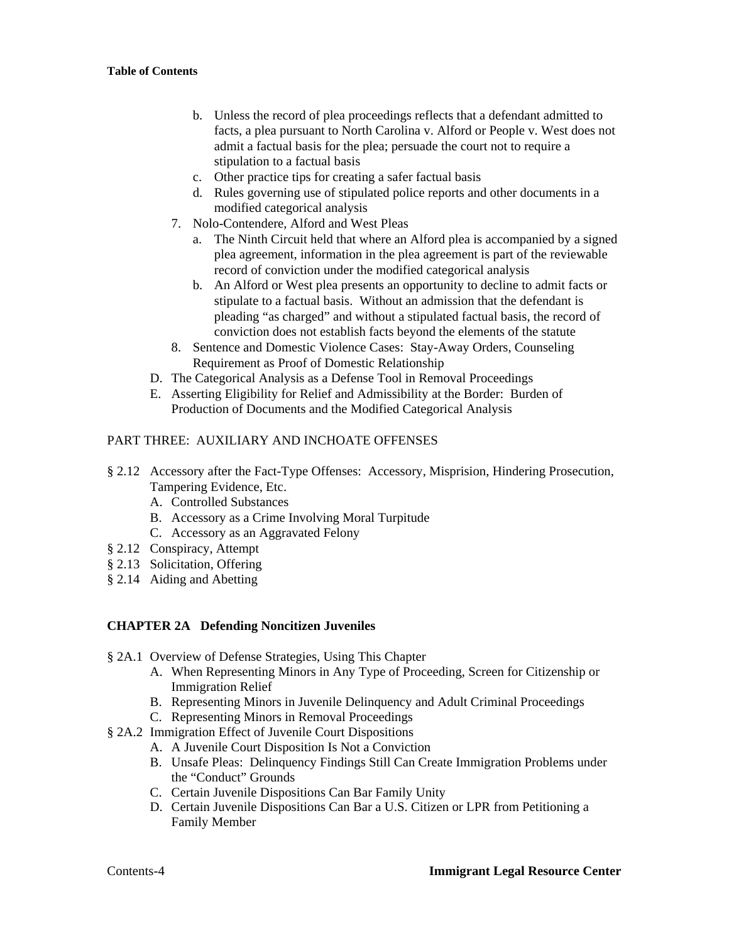- b. Unless the record of plea proceedings reflects that a defendant admitted to facts, a plea pursuant to North Carolina v. Alford or People v. West does not admit a factual basis for the plea; persuade the court not to require a stipulation to a factual basis
- c. Other practice tips for creating a safer factual basis
- d. Rules governing use of stipulated police reports and other documents in a modified categorical analysis
- 7. Nolo-Contendere, Alford and West Pleas
	- a. The Ninth Circuit held that where an Alford plea is accompanied by a signed plea agreement, information in the plea agreement is part of the reviewable record of conviction under the modified categorical analysis
	- b. An Alford or West plea presents an opportunity to decline to admit facts or stipulate to a factual basis. Without an admission that the defendant is pleading "as charged" and without a stipulated factual basis, the record of conviction does not establish facts beyond the elements of the statute
- 8. Sentence and Domestic Violence Cases: Stay-Away Orders, Counseling Requirement as Proof of Domestic Relationship
- D. The Categorical Analysis as a Defense Tool in Removal Proceedings
- E. Asserting Eligibility for Relief and Admissibility at the Border: Burden of Production of Documents and the Modified Categorical Analysis

## PART THREE: AUXILIARY AND INCHOATE OFFENSES

- § 2.12 Accessory after the Fact-Type Offenses: Accessory, Misprision, Hindering Prosecution, Tampering Evidence, Etc.
	- A. Controlled Substances
	- B. Accessory as a Crime Involving Moral Turpitude
	- C. Accessory as an Aggravated Felony
- § 2.12 Conspiracy, Attempt
- § 2.13 Solicitation, Offering
- § 2.14 Aiding and Abetting

## **CHAPTER 2A Defending Noncitizen Juveniles**

- § 2A.1 Overview of Defense Strategies, Using This Chapter
	- A. When Representing Minors in Any Type of Proceeding, Screen for Citizenship or Immigration Relief
	- B. Representing Minors in Juvenile Delinquency and Adult Criminal Proceedings
	- C. Representing Minors in Removal Proceedings
- § 2A.2 Immigration Effect of Juvenile Court Dispositions
	- A. A Juvenile Court Disposition Is Not a Conviction
	- B. Unsafe Pleas: Delinquency Findings Still Can Create Immigration Problems under the "Conduct" Grounds
	- C. Certain Juvenile Dispositions Can Bar Family Unity
	- D. Certain Juvenile Dispositions Can Bar a U.S. Citizen or LPR from Petitioning a Family Member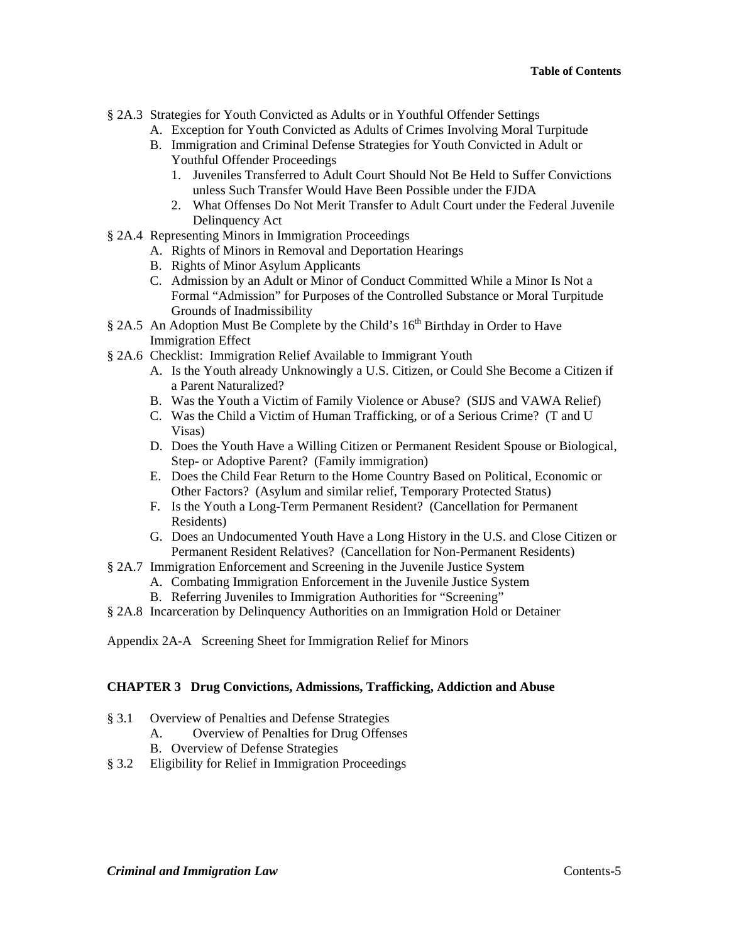- § 2A.3 Strategies for Youth Convicted as Adults or in Youthful Offender Settings
	- A. Exception for Youth Convicted as Adults of Crimes Involving Moral Turpitude
	- B. Immigration and Criminal Defense Strategies for Youth Convicted in Adult or Youthful Offender Proceedings
		- 1. Juveniles Transferred to Adult Court Should Not Be Held to Suffer Convictions unless Such Transfer Would Have Been Possible under the FJDA
		- 2. What Offenses Do Not Merit Transfer to Adult Court under the Federal Juvenile Delinquency Act
- § 2A.4 Representing Minors in Immigration Proceedings
	- A. Rights of Minors in Removal and Deportation Hearings
	- B. Rights of Minor Asylum Applicants
	- C. Admission by an Adult or Minor of Conduct Committed While a Minor Is Not a Formal "Admission" for Purposes of the Controlled Substance or Moral Turpitude Grounds of Inadmissibility
- § 2A.5 An Adoption Must Be Complete by the Child's  $16<sup>th</sup>$  Birthday in Order to Have Immigration Effect
- § 2A.6 Checklist: Immigration Relief Available to Immigrant Youth
	- A. Is the Youth already Unknowingly a U.S. Citizen, or Could She Become a Citizen if a Parent Naturalized?
	- B. Was the Youth a Victim of Family Violence or Abuse? (SIJS and VAWA Relief)
	- C. Was the Child a Victim of Human Trafficking, or of a Serious Crime? (T and U Visas)
	- D. Does the Youth Have a Willing Citizen or Permanent Resident Spouse or Biological, Step- or Adoptive Parent? (Family immigration)
	- E. Does the Child Fear Return to the Home Country Based on Political, Economic or Other Factors? (Asylum and similar relief, Temporary Protected Status)
	- F. Is the Youth a Long-Term Permanent Resident? (Cancellation for Permanent Residents)
	- G. Does an Undocumented Youth Have a Long History in the U.S. and Close Citizen or Permanent Resident Relatives? (Cancellation for Non-Permanent Residents)
- § 2A.7 Immigration Enforcement and Screening in the Juvenile Justice System
	- A. Combating Immigration Enforcement in the Juvenile Justice System
	- B. Referring Juveniles to Immigration Authorities for "Screening"
- § 2A.8 Incarceration by Delinquency Authorities on an Immigration Hold or Detainer
- Appendix 2A-A Screening Sheet for Immigration Relief for Minors

#### **CHAPTER 3 Drug Convictions, Admissions, Trafficking, Addiction and Abuse**

- § 3.1 Overview of Penalties and Defense Strategies
	- A. Overview of Penalties for Drug Offenses
	- B. Overview of Defense Strategies
- § 3.2 Eligibility for Relief in Immigration Proceedings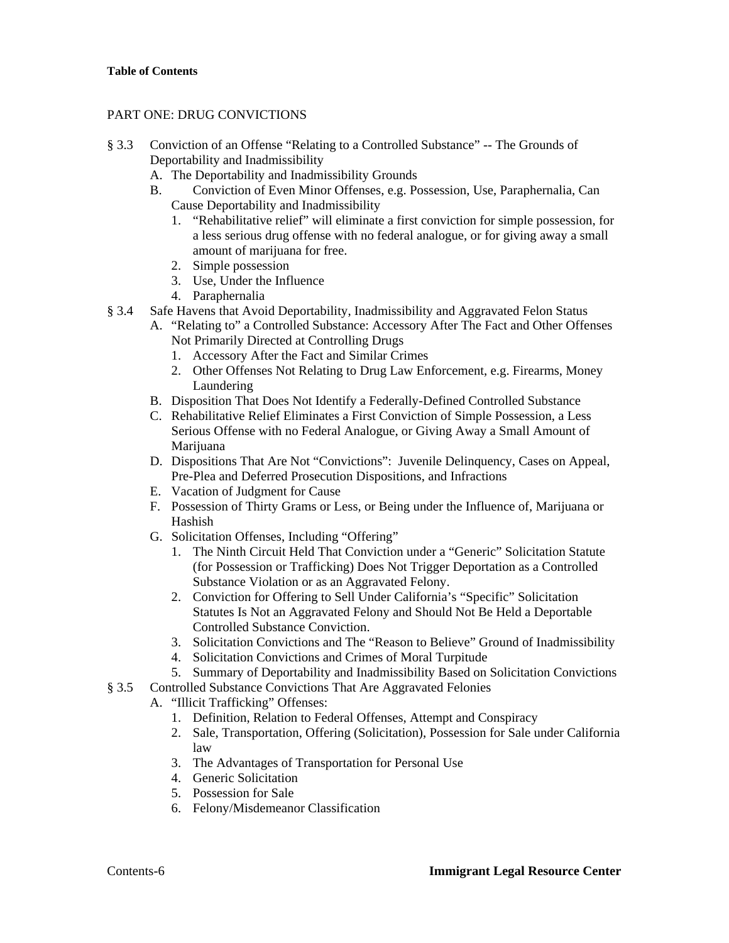## PART ONE: DRUG CONVICTIONS

- § 3.3 Conviction of an Offense "Relating to a Controlled Substance" -- The Grounds of Deportability and Inadmissibility
	- A. The Deportability and Inadmissibility Grounds
	- B. Conviction of Even Minor Offenses, e.g. Possession, Use, Paraphernalia, Can Cause Deportability and Inadmissibility
		- 1. "Rehabilitative relief" will eliminate a first conviction for simple possession, for a less serious drug offense with no federal analogue, or for giving away a small amount of marijuana for free.
		- 2. Simple possession
		- 3. Use, Under the Influence
		- 4. Paraphernalia
- § 3.4 Safe Havens that Avoid Deportability, Inadmissibility and Aggravated Felon Status
	- A. "Relating to" a Controlled Substance: Accessory After The Fact and Other Offenses Not Primarily Directed at Controlling Drugs
		- 1. Accessory After the Fact and Similar Crimes
		- 2. Other Offenses Not Relating to Drug Law Enforcement, e.g. Firearms, Money Laundering
	- B. Disposition That Does Not Identify a Federally-Defined Controlled Substance
	- C. Rehabilitative Relief Eliminates a First Conviction of Simple Possession, a Less Serious Offense with no Federal Analogue, or Giving Away a Small Amount of Marijuana
	- D. Dispositions That Are Not "Convictions": Juvenile Delinquency, Cases on Appeal, Pre-Plea and Deferred Prosecution Dispositions, and Infractions
	- E. Vacation of Judgment for Cause
	- F. Possession of Thirty Grams or Less, or Being under the Influence of, Marijuana or Hashish
	- G. Solicitation Offenses, Including "Offering"
		- 1. The Ninth Circuit Held That Conviction under a "Generic" Solicitation Statute (for Possession or Trafficking) Does Not Trigger Deportation as a Controlled Substance Violation or as an Aggravated Felony.
		- 2. Conviction for Offering to Sell Under California's "Specific" Solicitation Statutes Is Not an Aggravated Felony and Should Not Be Held a Deportable Controlled Substance Conviction.
		- 3. Solicitation Convictions and The "Reason to Believe" Ground of Inadmissibility
		- 4. Solicitation Convictions and Crimes of Moral Turpitude
		- 5. Summary of Deportability and Inadmissibility Based on Solicitation Convictions
- § 3.5 Controlled Substance Convictions That Are Aggravated Felonies
	- A. "Illicit Trafficking" Offenses:
		- 1. Definition, Relation to Federal Offenses, Attempt and Conspiracy
		- 2. Sale, Transportation, Offering (Solicitation), Possession for Sale under California law
		- 3. The Advantages of Transportation for Personal Use
		- 4. Generic Solicitation
		- 5. Possession for Sale
		- 6. Felony/Misdemeanor Classification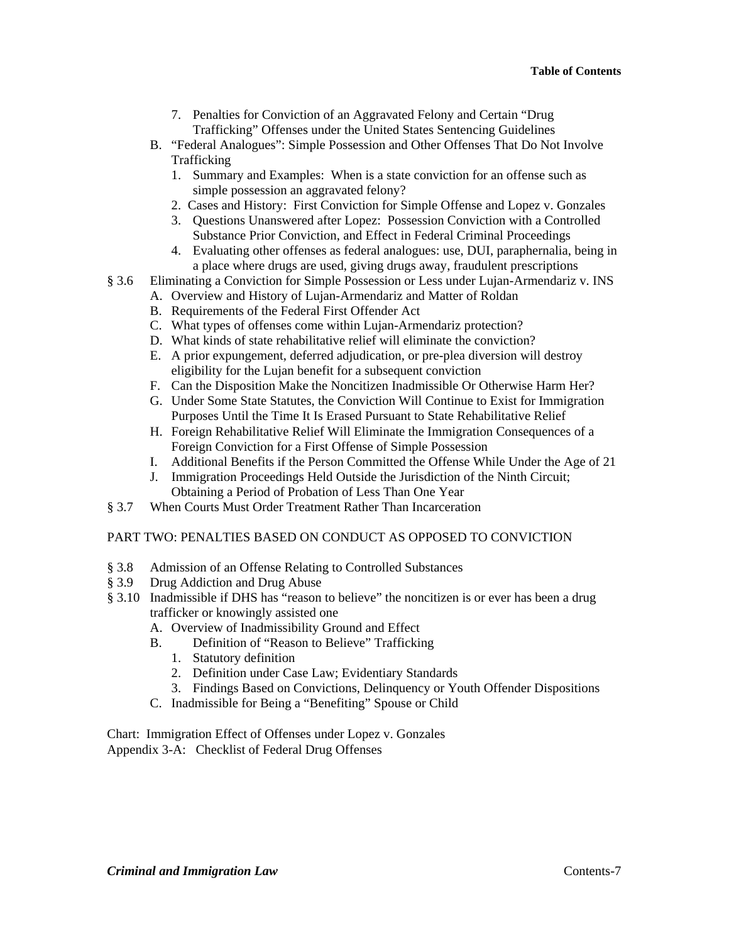- 7. Penalties for Conviction of an Aggravated Felony and Certain "Drug Trafficking" Offenses under the United States Sentencing Guidelines
- B. "Federal Analogues": Simple Possession and Other Offenses That Do Not Involve Trafficking
	- 1. Summary and Examples: When is a state conviction for an offense such as simple possession an aggravated felony?
	- 2. Cases and History: First Conviction for Simple Offense and Lopez v. Gonzales
	- 3. Questions Unanswered after Lopez: Possession Conviction with a Controlled Substance Prior Conviction, and Effect in Federal Criminal Proceedings
	- 4. Evaluating other offenses as federal analogues: use, DUI, paraphernalia, being in a place where drugs are used, giving drugs away, fraudulent prescriptions
- § 3.6 Eliminating a Conviction for Simple Possession or Less under Lujan-Armendariz v. INS
	- A. Overview and History of Lujan-Armendariz and Matter of Roldan
		- B. Requirements of the Federal First Offender Act
		- C. What types of offenses come within Lujan-Armendariz protection?
		- D. What kinds of state rehabilitative relief will eliminate the conviction?
		- E. A prior expungement, deferred adjudication, or pre-plea diversion will destroy eligibility for the Lujan benefit for a subsequent conviction
		- F. Can the Disposition Make the Noncitizen Inadmissible Or Otherwise Harm Her?
		- G. Under Some State Statutes, the Conviction Will Continue to Exist for Immigration Purposes Until the Time It Is Erased Pursuant to State Rehabilitative Relief
		- H. Foreign Rehabilitative Relief Will Eliminate the Immigration Consequences of a Foreign Conviction for a First Offense of Simple Possession
		- I. Additional Benefits if the Person Committed the Offense While Under the Age of 21
		- J. Immigration Proceedings Held Outside the Jurisdiction of the Ninth Circuit; Obtaining a Period of Probation of Less Than One Year
- § 3.7 When Courts Must Order Treatment Rather Than Incarceration

## PART TWO: PENALTIES BASED ON CONDUCT AS OPPOSED TO CONVICTION

- § 3.8 Admission of an Offense Relating to Controlled Substances
- § 3.9 Drug Addiction and Drug Abuse
- § 3.10 Inadmissible if DHS has "reason to believe" the noncitizen is or ever has been a drug trafficker or knowingly assisted one
	- A. Overview of Inadmissibility Ground and Effect
	- B. Definition of "Reason to Believe" Trafficking
		- 1. Statutory definition
		- 2. Definition under Case Law; Evidentiary Standards
		- 3. Findings Based on Convictions, Delinquency or Youth Offender Dispositions
	- C. Inadmissible for Being a "Benefiting" Spouse or Child

Chart: Immigration Effect of Offenses under Lopez v. Gonzales Appendix 3-A: Checklist of Federal Drug Offenses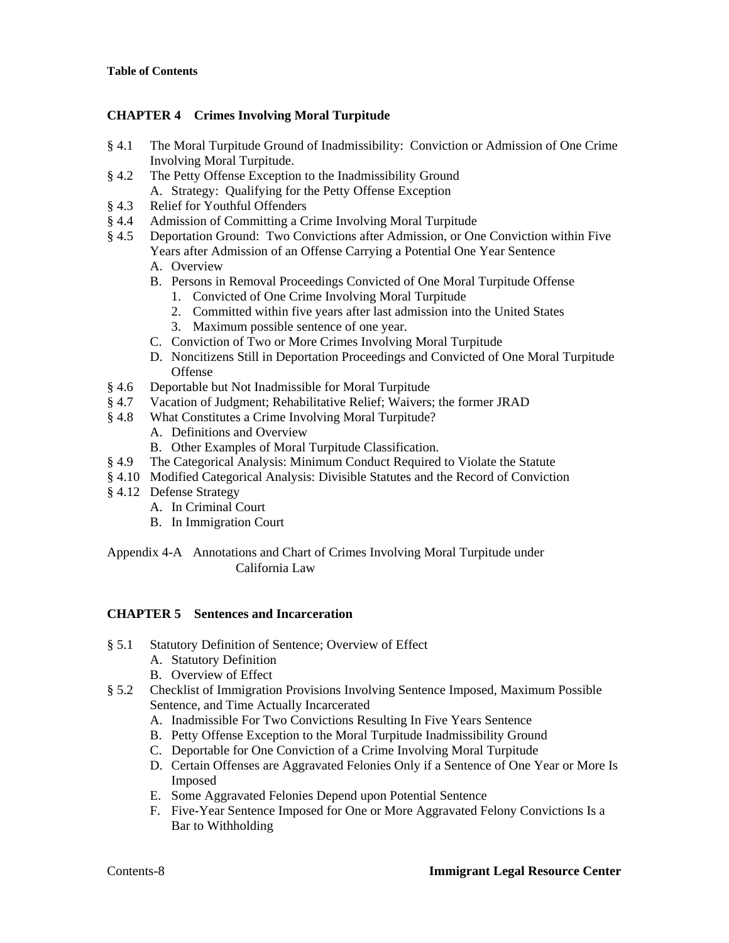# **CHAPTER 4 Crimes Involving Moral Turpitude**

- § 4.1 The Moral Turpitude Ground of Inadmissibility: Conviction or Admission of One Crime Involving Moral Turpitude.
- § 4.2 The Petty Offense Exception to the Inadmissibility Ground A. Strategy: Qualifying for the Petty Offense Exception
- § 4.3 Relief for Youthful Offenders
- § 4.4 Admission of Committing a Crime Involving Moral Turpitude
- § 4.5 Deportation Ground: Two Convictions after Admission, or One Conviction within Five Years after Admission of an Offense Carrying a Potential One Year Sentence
	- A. Overview
	- B. Persons in Removal Proceedings Convicted of One Moral Turpitude Offense
		- 1. Convicted of One Crime Involving Moral Turpitude
		- 2. Committed within five years after last admission into the United States
		- 3. Maximum possible sentence of one year.
	- C. Conviction of Two or More Crimes Involving Moral Turpitude
	- D. Noncitizens Still in Deportation Proceedings and Convicted of One Moral Turpitude **Offense**
- § 4.6 Deportable but Not Inadmissible for Moral Turpitude
- § 4.7 Vacation of Judgment; Rehabilitative Relief; Waivers; the former JRAD
- § 4.8 What Constitutes a Crime Involving Moral Turpitude?
	- A. Definitions and Overview
	- B. Other Examples of Moral Turpitude Classification.
- § 4.9 The Categorical Analysis: Minimum Conduct Required to Violate the Statute
- § 4.10 Modified Categorical Analysis: Divisible Statutes and the Record of Conviction
- § 4.12 Defense Strategy
	- A. In Criminal Court
	- B. In Immigration Court

Appendix 4-A Annotations and Chart of Crimes Involving Moral Turpitude under California Law

# **CHAPTER 5 Sentences and Incarceration**

- § 5.1 Statutory Definition of Sentence; Overview of Effect
	- A. Statutory Definition
	- B. Overview of Effect
- § 5.2 Checklist of Immigration Provisions Involving Sentence Imposed, Maximum Possible Sentence, and Time Actually Incarcerated
	- A. Inadmissible For Two Convictions Resulting In Five Years Sentence
	- B. Petty Offense Exception to the Moral Turpitude Inadmissibility Ground
	- C. Deportable for One Conviction of a Crime Involving Moral Turpitude
	- D. Certain Offenses are Aggravated Felonies Only if a Sentence of One Year or More Is Imposed
	- E. Some Aggravated Felonies Depend upon Potential Sentence
	- F. Five-Year Sentence Imposed for One or More Aggravated Felony Convictions Is a Bar to Withholding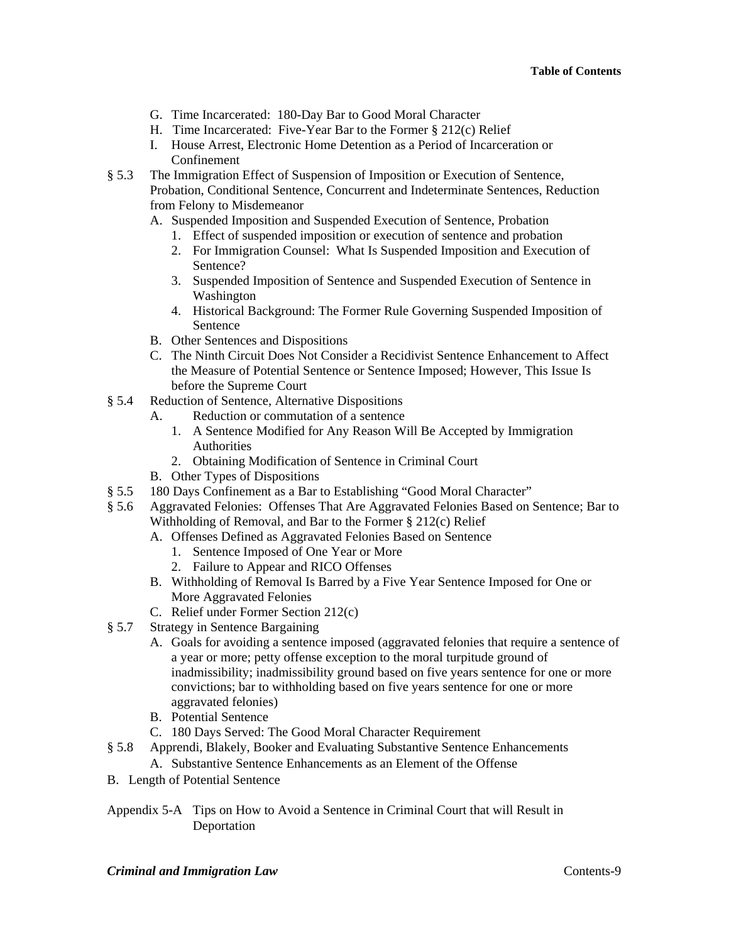- G. Time Incarcerated: 180-Day Bar to Good Moral Character
- H. Time Incarcerated: Five-Year Bar to the Former § 212(c) Relief
- I. House Arrest, Electronic Home Detention as a Period of Incarceration or Confinement
- § 5.3 The Immigration Effect of Suspension of Imposition or Execution of Sentence, Probation, Conditional Sentence, Concurrent and Indeterminate Sentences, Reduction from Felony to Misdemeanor
	- A. Suspended Imposition and Suspended Execution of Sentence, Probation
		- 1. Effect of suspended imposition or execution of sentence and probation
		- 2. For Immigration Counsel: What Is Suspended Imposition and Execution of Sentence?
		- 3. Suspended Imposition of Sentence and Suspended Execution of Sentence in Washington
		- 4. Historical Background: The Former Rule Governing Suspended Imposition of Sentence
	- B. Other Sentences and Dispositions
	- C. The Ninth Circuit Does Not Consider a Recidivist Sentence Enhancement to Affect the Measure of Potential Sentence or Sentence Imposed; However, This Issue Is before the Supreme Court
- § 5.4 Reduction of Sentence, Alternative Dispositions
	- A. Reduction or commutation of a sentence
		- 1. A Sentence Modified for Any Reason Will Be Accepted by Immigration Authorities
		- 2. Obtaining Modification of Sentence in Criminal Court
	- B. Other Types of Dispositions
- § 5.5 180 Days Confinement as a Bar to Establishing "Good Moral Character"
- § 5.6 Aggravated Felonies: Offenses That Are Aggravated Felonies Based on Sentence; Bar to Withholding of Removal, and Bar to the Former § 212(c) Relief
	- A. Offenses Defined as Aggravated Felonies Based on Sentence
		- 1. Sentence Imposed of One Year or More
		- 2. Failure to Appear and RICO Offenses
	- B. Withholding of Removal Is Barred by a Five Year Sentence Imposed for One or More Aggravated Felonies
	- C. Relief under Former Section 212(c)
- § 5.7 Strategy in Sentence Bargaining
	- A. Goals for avoiding a sentence imposed (aggravated felonies that require a sentence of a year or more; petty offense exception to the moral turpitude ground of inadmissibility; inadmissibility ground based on five years sentence for one or more convictions; bar to withholding based on five years sentence for one or more aggravated felonies)
	- B. Potential Sentence
	- C. 180 Days Served: The Good Moral Character Requirement
- § 5.8 Apprendi, Blakely, Booker and Evaluating Substantive Sentence Enhancements A. Substantive Sentence Enhancements as an Element of the Offense
- B. Length of Potential Sentence
- Appendix 5-A Tips on How to Avoid a Sentence in Criminal Court that will Result in Deportation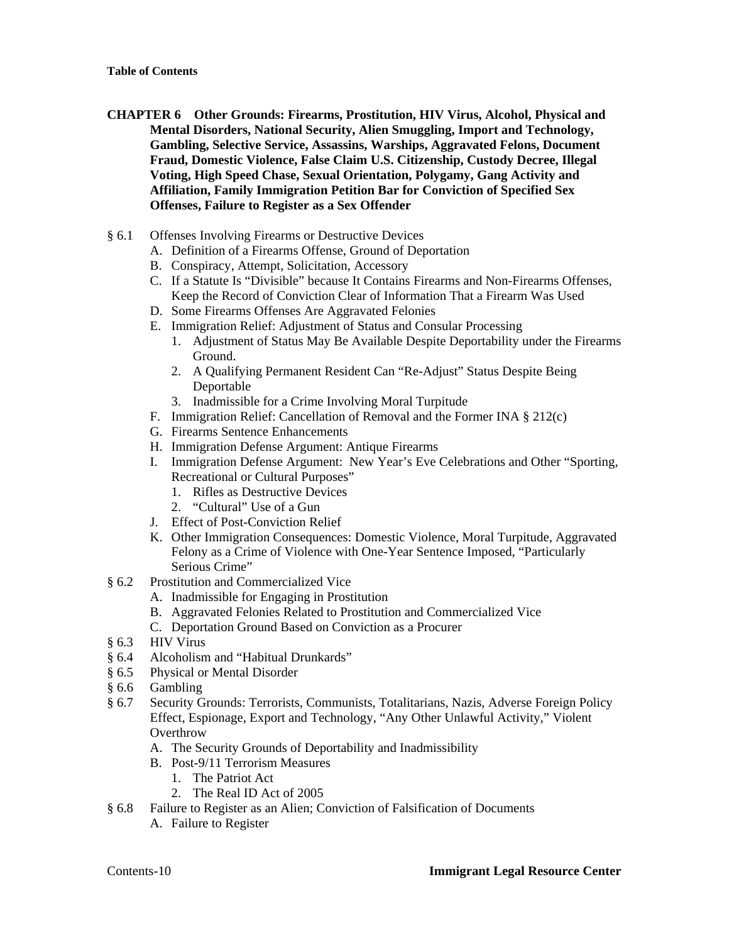- **CHAPTER 6 Other Grounds: Firearms, Prostitution, HIV Virus, Alcohol, Physical and Mental Disorders, National Security, Alien Smuggling, Import and Technology, Gambling, Selective Service, Assassins, Warships, Aggravated Felons, Document Fraud, Domestic Violence, False Claim U.S. Citizenship, Custody Decree, Illegal Voting, High Speed Chase, Sexual Orientation, Polygamy, Gang Activity and Affiliation, Family Immigration Petition Bar for Conviction of Specified Sex Offenses, Failure to Register as a Sex Offender**
- § 6.1 Offenses Involving Firearms or Destructive Devices
	- A. Definition of a Firearms Offense, Ground of Deportation
	- B. Conspiracy, Attempt, Solicitation, Accessory
	- C. If a Statute Is "Divisible" because It Contains Firearms and Non-Firearms Offenses, Keep the Record of Conviction Clear of Information That a Firearm Was Used
	- D. Some Firearms Offenses Are Aggravated Felonies
	- E. Immigration Relief: Adjustment of Status and Consular Processing
		- 1. Adjustment of Status May Be Available Despite Deportability under the Firearms Ground.
		- 2. A Qualifying Permanent Resident Can "Re-Adjust" Status Despite Being Deportable
		- 3. Inadmissible for a Crime Involving Moral Turpitude
	- F. Immigration Relief: Cancellation of Removal and the Former INA § 212(c)
	- G. Firearms Sentence Enhancements
	- H. Immigration Defense Argument: Antique Firearms
	- I. Immigration Defense Argument: New Year's Eve Celebrations and Other "Sporting, Recreational or Cultural Purposes"
		- 1. Rifles as Destructive Devices
		- 2. "Cultural" Use of a Gun
	- J. Effect of Post-Conviction Relief
	- K. Other Immigration Consequences: Domestic Violence, Moral Turpitude, Aggravated Felony as a Crime of Violence with One-Year Sentence Imposed, "Particularly Serious Crime"
- § 6.2 Prostitution and Commercialized Vice
	- A. Inadmissible for Engaging in Prostitution
	- B. Aggravated Felonies Related to Prostitution and Commercialized Vice
	- C. Deportation Ground Based on Conviction as a Procurer
- § 6.3 HIV Virus
- § 6.4 Alcoholism and "Habitual Drunkards"
- § 6.5 Physical or Mental Disorder
- § 6.6 Gambling
- § 6.7 Security Grounds: Terrorists, Communists, Totalitarians, Nazis, Adverse Foreign Policy Effect, Espionage, Export and Technology, "Any Other Unlawful Activity," Violent **Overthrow** 
	- A. The Security Grounds of Deportability and Inadmissibility
	- B. Post-9/11 Terrorism Measures
		- 1. The Patriot Act
		- 2. The Real ID Act of 2005
- § 6.8 Failure to Register as an Alien; Conviction of Falsification of Documents
	- A. Failure to Register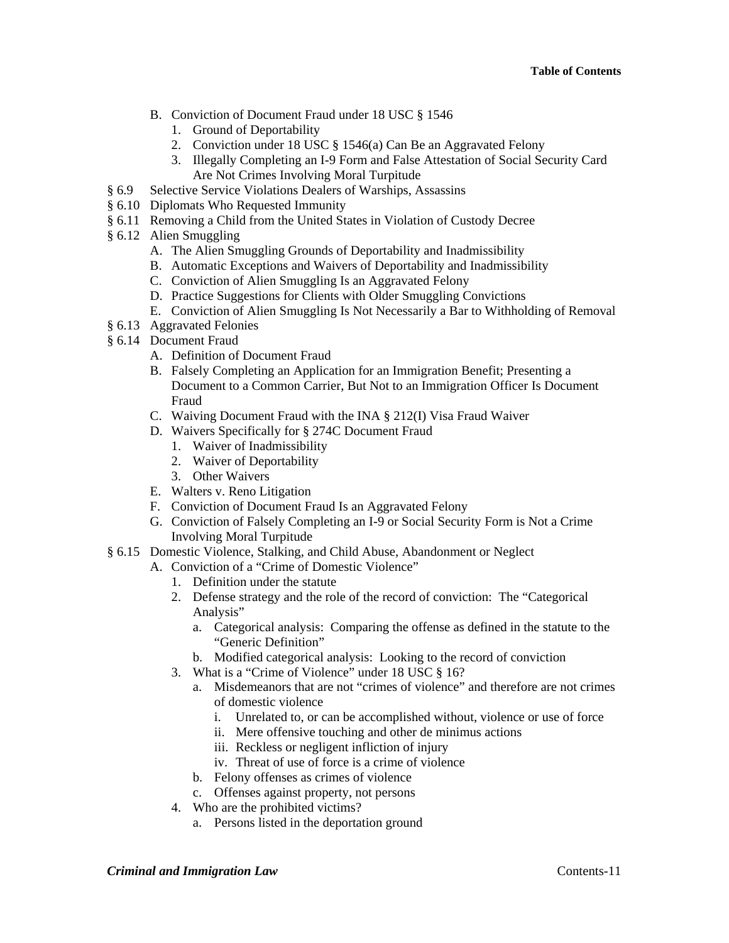- B. Conviction of Document Fraud under 18 USC § 1546
	- 1. Ground of Deportability
	- 2. Conviction under 18 USC § 1546(a) Can Be an Aggravated Felony
	- 3. Illegally Completing an I-9 Form and False Attestation of Social Security Card Are Not Crimes Involving Moral Turpitude
- § 6.9 Selective Service Violations Dealers of Warships, Assassins
- § 6.10 Diplomats Who Requested Immunity
- § 6.11 Removing a Child from the United States in Violation of Custody Decree
- § 6.12 Alien Smuggling
	- A. The Alien Smuggling Grounds of Deportability and Inadmissibility
	- B. Automatic Exceptions and Waivers of Deportability and Inadmissibility
	- C. Conviction of Alien Smuggling Is an Aggravated Felony
	- D. Practice Suggestions for Clients with Older Smuggling Convictions
	- E. Conviction of Alien Smuggling Is Not Necessarily a Bar to Withholding of Removal
- § 6.13 Aggravated Felonies
- § 6.14 Document Fraud
	- A. Definition of Document Fraud
	- B. Falsely Completing an Application for an Immigration Benefit; Presenting a Document to a Common Carrier, But Not to an Immigration Officer Is Document Fraud
	- C. Waiving Document Fraud with the INA § 212(I) Visa Fraud Waiver
	- D. Waivers Specifically for § 274C Document Fraud
		- 1. Waiver of Inadmissibility
		- 2. Waiver of Deportability
		- 3. Other Waivers
	- E. Walters v. Reno Litigation
	- F. Conviction of Document Fraud Is an Aggravated Felony
	- G. Conviction of Falsely Completing an I-9 or Social Security Form is Not a Crime Involving Moral Turpitude
- § 6.15 Domestic Violence, Stalking, and Child Abuse, Abandonment or Neglect
	- A. Conviction of a "Crime of Domestic Violence"
		- 1. Definition under the statute
		- 2. Defense strategy and the role of the record of conviction: The "Categorical Analysis"
			- a. Categorical analysis: Comparing the offense as defined in the statute to the "Generic Definition"
			- b. Modified categorical analysis: Looking to the record of conviction
		- 3. What is a "Crime of Violence" under 18 USC § 16?
			- a. Misdemeanors that are not "crimes of violence" and therefore are not crimes of domestic violence
				- i. Unrelated to, or can be accomplished without, violence or use of force
				- ii. Mere offensive touching and other de minimus actions
				- iii. Reckless or negligent infliction of injury
				- iv. Threat of use of force is a crime of violence
			- b. Felony offenses as crimes of violence
			- c. Offenses against property, not persons
		- 4. Who are the prohibited victims?
			- a. Persons listed in the deportation ground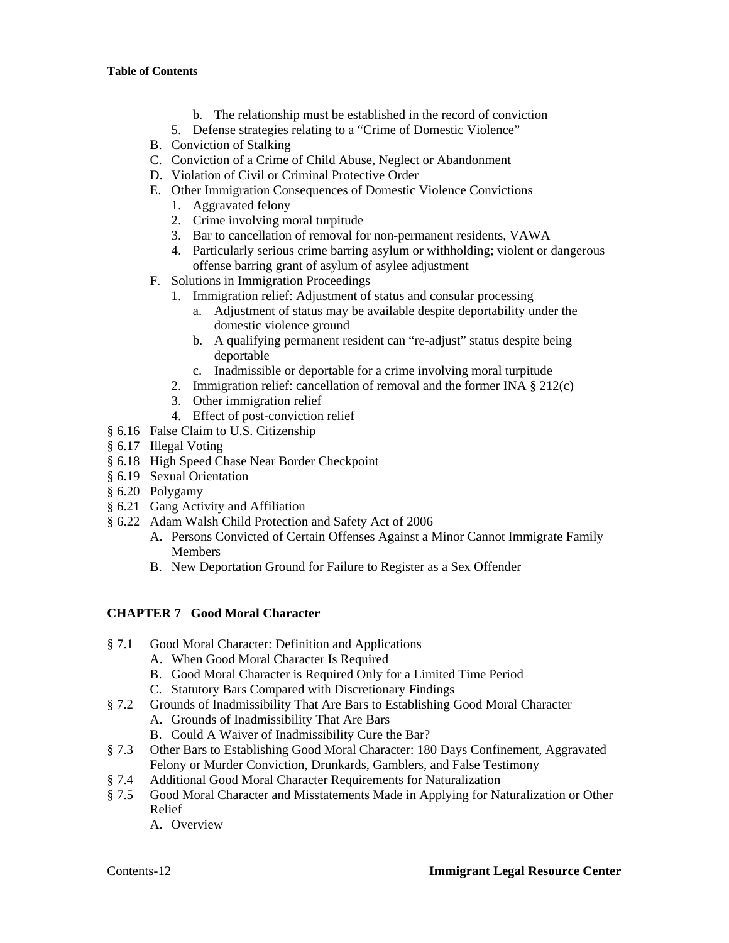- b. The relationship must be established in the record of conviction
- 5. Defense strategies relating to a "Crime of Domestic Violence"
- B. Conviction of Stalking
- C. Conviction of a Crime of Child Abuse, Neglect or Abandonment
- D. Violation of Civil or Criminal Protective Order
- E. Other Immigration Consequences of Domestic Violence Convictions
	- 1. Aggravated felony
	- 2. Crime involving moral turpitude
	- 3. Bar to cancellation of removal for non-permanent residents, VAWA
	- 4. Particularly serious crime barring asylum or withholding; violent or dangerous offense barring grant of asylum of asylee adjustment
- F. Solutions in Immigration Proceedings
	- 1. Immigration relief: Adjustment of status and consular processing
		- a. Adjustment of status may be available despite deportability under the domestic violence ground
		- b. A qualifying permanent resident can "re-adjust" status despite being deportable
		- c. Inadmissible or deportable for a crime involving moral turpitude
	- 2. Immigration relief: cancellation of removal and the former INA § 212(c)
	- 3. Other immigration relief
	- 4. Effect of post-conviction relief
- § 6.16 False Claim to U.S. Citizenship
- § 6.17 Illegal Voting
- § 6.18 High Speed Chase Near Border Checkpoint
- § 6.19 Sexual Orientation
- § 6.20 Polygamy
- § 6.21 Gang Activity and Affiliation
- § 6.22 Adam Walsh Child Protection and Safety Act of 2006
	- A. Persons Convicted of Certain Offenses Against a Minor Cannot Immigrate Family Members
	- B. New Deportation Ground for Failure to Register as a Sex Offender

#### **CHAPTER 7 Good Moral Character**

- § 7.1 Good Moral Character: Definition and Applications
	- A. When Good Moral Character Is Required
	- B. Good Moral Character is Required Only for a Limited Time Period
	- C. Statutory Bars Compared with Discretionary Findings
- § 7.2 Grounds of Inadmissibility That Are Bars to Establishing Good Moral Character
	- A. Grounds of Inadmissibility That Are Bars
	- B. Could A Waiver of Inadmissibility Cure the Bar?
- § 7.3 Other Bars to Establishing Good Moral Character: 180 Days Confinement, Aggravated Felony or Murder Conviction, Drunkards, Gamblers, and False Testimony
- § 7.4 Additional Good Moral Character Requirements for Naturalization
- § 7.5 Good Moral Character and Misstatements Made in Applying for Naturalization or Other Relief
	- A. Overview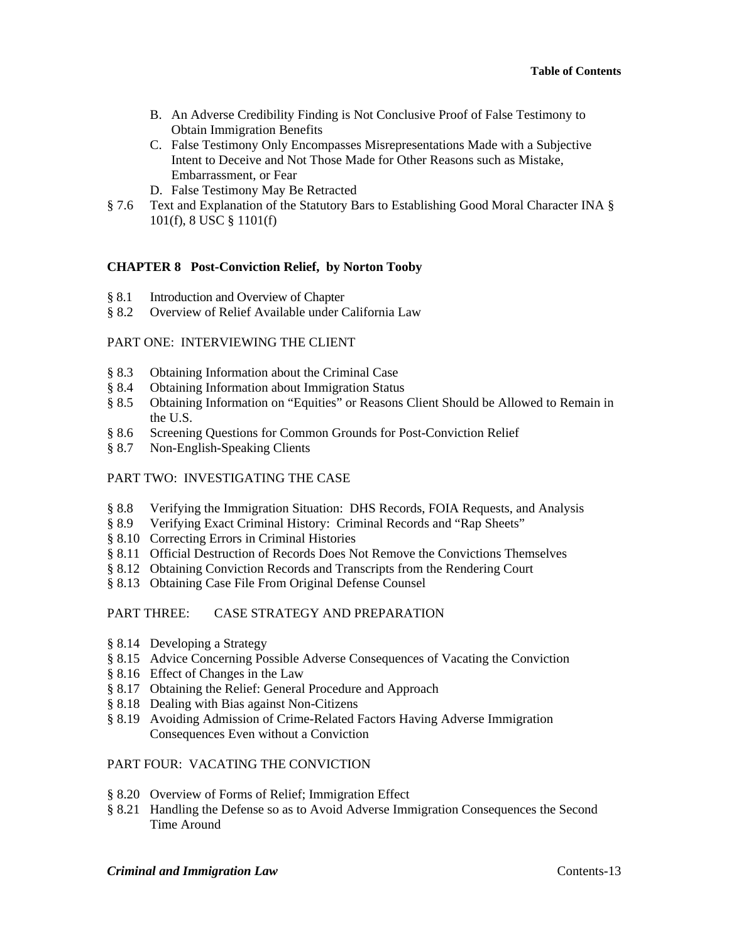- B. An Adverse Credibility Finding is Not Conclusive Proof of False Testimony to Obtain Immigration Benefits
- C. False Testimony Only Encompasses Misrepresentations Made with a Subjective Intent to Deceive and Not Those Made for Other Reasons such as Mistake, Embarrassment, or Fear
- D. False Testimony May Be Retracted
- § 7.6 Text and Explanation of the Statutory Bars to Establishing Good Moral Character INA § 101(f), 8 USC § 1101(f)

## **CHAPTER 8 Post-Conviction Relief, by Norton Tooby**

- § 8.1 Introduction and Overview of Chapter
- § 8.2 Overview of Relief Available under California Law

## PART ONE: INTERVIEWING THE CLIENT

- § 8.3 Obtaining Information about the Criminal Case
- § 8.4 Obtaining Information about Immigration Status
- § 8.5 Obtaining Information on "Equities" or Reasons Client Should be Allowed to Remain in the U.S.
- § 8.6 Screening Questions for Common Grounds for Post-Conviction Relief
- § 8.7 Non-English-Speaking Clients

## PART TWO: INVESTIGATING THE CASE

- § 8.8 Verifying the Immigration Situation: DHS Records, FOIA Requests, and Analysis
- § 8.9 Verifying Exact Criminal History: Criminal Records and "Rap Sheets"
- § 8.10 Correcting Errors in Criminal Histories
- § 8.11 Official Destruction of Records Does Not Remove the Convictions Themselves
- § 8.12 Obtaining Conviction Records and Transcripts from the Rendering Court
- § 8.13 Obtaining Case File From Original Defense Counsel

## PART THREE: CASE STRATEGY AND PREPARATION

- § 8.14 Developing a Strategy
- § 8.15 Advice Concerning Possible Adverse Consequences of Vacating the Conviction
- § 8.16 Effect of Changes in the Law
- § 8.17 Obtaining the Relief: General Procedure and Approach
- § 8.18 Dealing with Bias against Non-Citizens
- § 8.19 Avoiding Admission of Crime-Related Factors Having Adverse Immigration Consequences Even without a Conviction

## PART FOUR: VACATING THE CONVICTION

- § 8.20 Overview of Forms of Relief; Immigration Effect
- § 8.21 Handling the Defense so as to Avoid Adverse Immigration Consequences the Second Time Around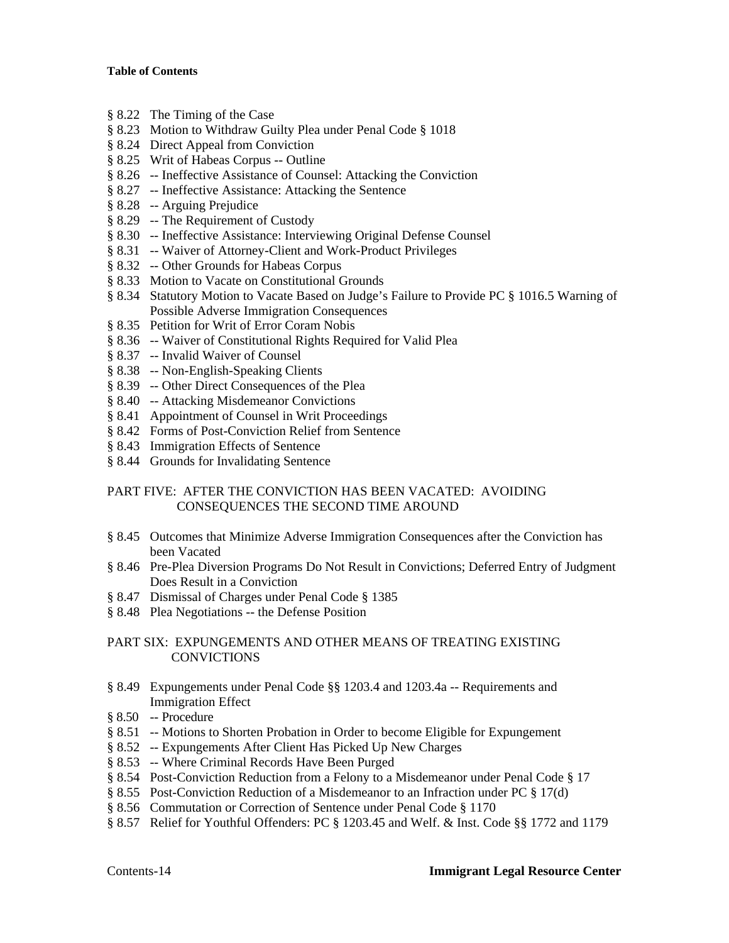- § 8.22 The Timing of the Case
- § 8.23 Motion to Withdraw Guilty Plea under Penal Code § 1018
- § 8.24 Direct Appeal from Conviction
- § 8.25 Writ of Habeas Corpus -- Outline
- § 8.26 -- Ineffective Assistance of Counsel: Attacking the Conviction
- § 8.27 -- Ineffective Assistance: Attacking the Sentence
- § 8.28 -- Arguing Prejudice
- § 8.29 -- The Requirement of Custody
- § 8.30 -- Ineffective Assistance: Interviewing Original Defense Counsel
- § 8.31 -- Waiver of Attorney-Client and Work-Product Privileges
- § 8.32 -- Other Grounds for Habeas Corpus
- § 8.33 Motion to Vacate on Constitutional Grounds
- § 8.34 Statutory Motion to Vacate Based on Judge's Failure to Provide PC § 1016.5 Warning of Possible Adverse Immigration Consequences
- § 8.35 Petition for Writ of Error Coram Nobis
- § 8.36 -- Waiver of Constitutional Rights Required for Valid Plea
- § 8.37 -- Invalid Waiver of Counsel
- § 8.38 -- Non-English-Speaking Clients
- § 8.39 -- Other Direct Consequences of the Plea
- § 8.40 -- Attacking Misdemeanor Convictions
- § 8.41 Appointment of Counsel in Writ Proceedings
- § 8.42 Forms of Post-Conviction Relief from Sentence
- § 8.43 Immigration Effects of Sentence
- § 8.44 Grounds for Invalidating Sentence

## PART FIVE: AFTER THE CONVICTION HAS BEEN VACATED: AVOIDING CONSEQUENCES THE SECOND TIME AROUND

- § 8.45 Outcomes that Minimize Adverse Immigration Consequences after the Conviction has been Vacated
- § 8.46 Pre-Plea Diversion Programs Do Not Result in Convictions; Deferred Entry of Judgment Does Result in a Conviction
- § 8.47 Dismissal of Charges under Penal Code § 1385
- § 8.48 Plea Negotiations -- the Defense Position

## PART SIX: EXPUNGEMENTS AND OTHER MEANS OF TREATING EXISTING **CONVICTIONS**

- § 8.49 Expungements under Penal Code §§ 1203.4 and 1203.4a -- Requirements and Immigration Effect
- § 8.50 -- Procedure
- § 8.51 -- Motions to Shorten Probation in Order to become Eligible for Expungement
- § 8.52 -- Expungements After Client Has Picked Up New Charges
- § 8.53 -- Where Criminal Records Have Been Purged
- § 8.54 Post-Conviction Reduction from a Felony to a Misdemeanor under Penal Code § 17
- § 8.55 Post-Conviction Reduction of a Misdemeanor to an Infraction under PC § 17(d)
- § 8.56 Commutation or Correction of Sentence under Penal Code § 1170
- § 8.57 Relief for Youthful Offenders: PC § 1203.45 and Welf. & Inst. Code §§ 1772 and 1179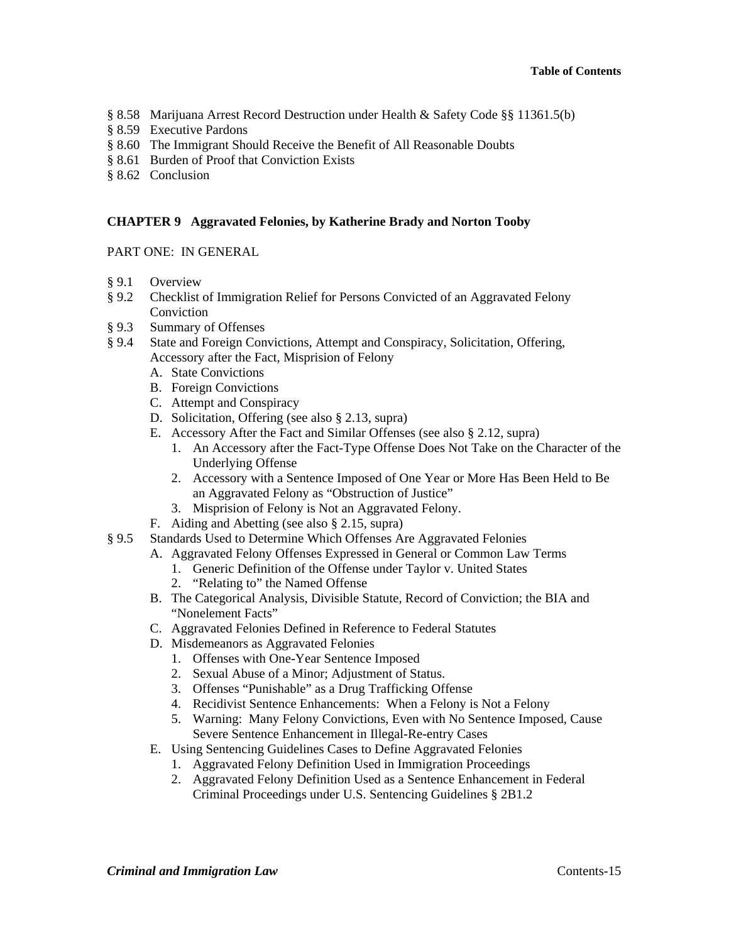- § 8.58 Marijuana Arrest Record Destruction under Health & Safety Code §§ 11361.5(b)
- § 8.59 Executive Pardons
- § 8.60 The Immigrant Should Receive the Benefit of All Reasonable Doubts
- § 8.61 Burden of Proof that Conviction Exists
- § 8.62 Conclusion

#### **CHAPTER 9 Aggravated Felonies, by Katherine Brady and Norton Tooby**

PART ONE: IN GENERAL

- § 9.1 Overview
- § 9.2 Checklist of Immigration Relief for Persons Convicted of an Aggravated Felony Conviction
- § 9.3 Summary of Offenses
- § 9.4 State and Foreign Convictions, Attempt and Conspiracy, Solicitation, Offering, Accessory after the Fact, Misprision of Felony
	- A. State Convictions
	- B. Foreign Convictions
	- C. Attempt and Conspiracy
	- D. Solicitation, Offering (see also § 2.13, supra)
	- E. Accessory After the Fact and Similar Offenses (see also § 2.12, supra)
		- 1. An Accessory after the Fact-Type Offense Does Not Take on the Character of the Underlying Offense
		- 2. Accessory with a Sentence Imposed of One Year or More Has Been Held to Be an Aggravated Felony as "Obstruction of Justice"
		- 3. Misprision of Felony is Not an Aggravated Felony.
	- F. Aiding and Abetting (see also § 2.15, supra)
- § 9.5 Standards Used to Determine Which Offenses Are Aggravated Felonies
	- A. Aggravated Felony Offenses Expressed in General or Common Law Terms
		- 1. Generic Definition of the Offense under Taylor v. United States
		- 2. "Relating to" the Named Offense
	- B. The Categorical Analysis, Divisible Statute, Record of Conviction; the BIA and "Nonelement Facts"
	- C. Aggravated Felonies Defined in Reference to Federal Statutes
	- D. Misdemeanors as Aggravated Felonies
		- 1. Offenses with One-Year Sentence Imposed
		- 2. Sexual Abuse of a Minor; Adjustment of Status.
		- 3. Offenses "Punishable" as a Drug Trafficking Offense
		- 4. Recidivist Sentence Enhancements: When a Felony is Not a Felony
		- 5. Warning: Many Felony Convictions, Even with No Sentence Imposed, Cause Severe Sentence Enhancement in Illegal-Re-entry Cases
	- E. Using Sentencing Guidelines Cases to Define Aggravated Felonies
		- 1. Aggravated Felony Definition Used in Immigration Proceedings
		- 2. Aggravated Felony Definition Used as a Sentence Enhancement in Federal Criminal Proceedings under U.S. Sentencing Guidelines § 2B1.2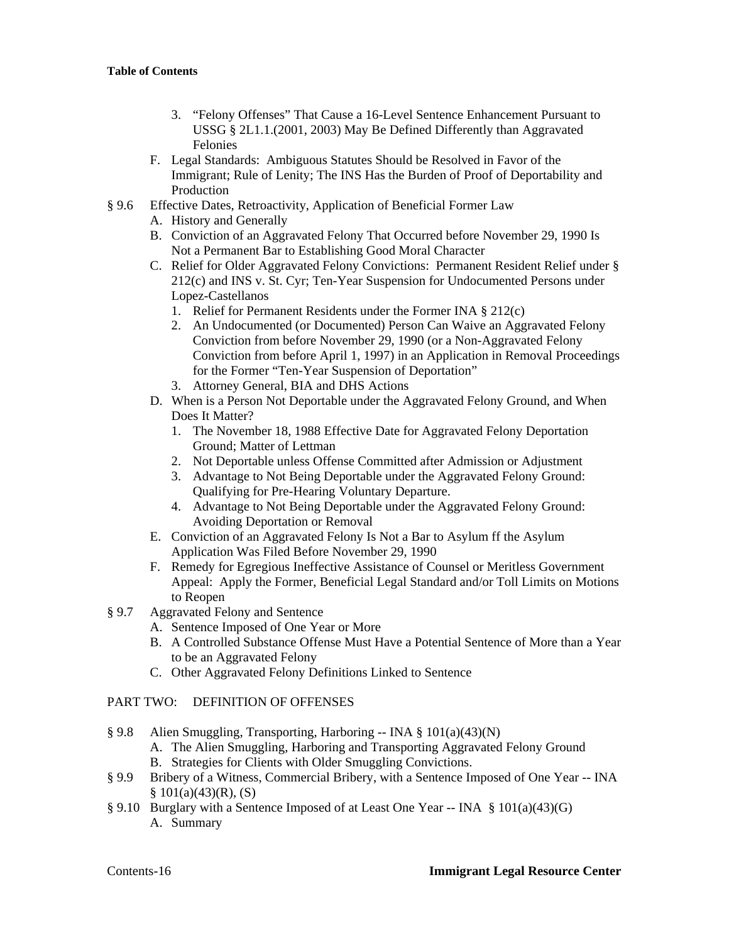- 3. "Felony Offenses" That Cause a 16-Level Sentence Enhancement Pursuant to USSG § 2L1.1.(2001, 2003) May Be Defined Differently than Aggravated Felonies
- F. Legal Standards: Ambiguous Statutes Should be Resolved in Favor of the Immigrant; Rule of Lenity; The INS Has the Burden of Proof of Deportability and Production
- § 9.6 Effective Dates, Retroactivity, Application of Beneficial Former Law
	- A. History and Generally
	- B. Conviction of an Aggravated Felony That Occurred before November 29, 1990 Is Not a Permanent Bar to Establishing Good Moral Character
	- C. Relief for Older Aggravated Felony Convictions: Permanent Resident Relief under § 212(c) and INS v. St. Cyr; Ten-Year Suspension for Undocumented Persons under Lopez-Castellanos
		- 1. Relief for Permanent Residents under the Former INA § 212(c)
		- 2. An Undocumented (or Documented) Person Can Waive an Aggravated Felony Conviction from before November 29, 1990 (or a Non-Aggravated Felony Conviction from before April 1, 1997) in an Application in Removal Proceedings for the Former "Ten-Year Suspension of Deportation"
		- 3. Attorney General, BIA and DHS Actions
	- D. When is a Person Not Deportable under the Aggravated Felony Ground, and When Does It Matter?
		- 1. The November 18, 1988 Effective Date for Aggravated Felony Deportation Ground; Matter of Lettman
		- 2. Not Deportable unless Offense Committed after Admission or Adjustment
		- 3. Advantage to Not Being Deportable under the Aggravated Felony Ground: Qualifying for Pre-Hearing Voluntary Departure.
		- 4. Advantage to Not Being Deportable under the Aggravated Felony Ground: Avoiding Deportation or Removal
	- E. Conviction of an Aggravated Felony Is Not a Bar to Asylum ff the Asylum Application Was Filed Before November 29, 1990
	- F. Remedy for Egregious Ineffective Assistance of Counsel or Meritless Government Appeal: Apply the Former, Beneficial Legal Standard and/or Toll Limits on Motions to Reopen
- § 9.7 Aggravated Felony and Sentence
	- A. Sentence Imposed of One Year or More
	- B. A Controlled Substance Offense Must Have a Potential Sentence of More than a Year to be an Aggravated Felony
	- C. Other Aggravated Felony Definitions Linked to Sentence

## PART TWO: DEFINITION OF OFFENSES

- § 9.8 Alien Smuggling, Transporting, Harboring -- INA § 101(a)(43)(N)
	- A. The Alien Smuggling, Harboring and Transporting Aggravated Felony Ground
	- B. Strategies for Clients with Older Smuggling Convictions.
- § 9.9 Bribery of a Witness, Commercial Bribery, with a Sentence Imposed of One Year -- INA  $$101(a)(43)(R), (S)$
- § 9.10 Burglary with a Sentence Imposed of at Least One Year -- INA § 101(a)(43)(G) A. Summary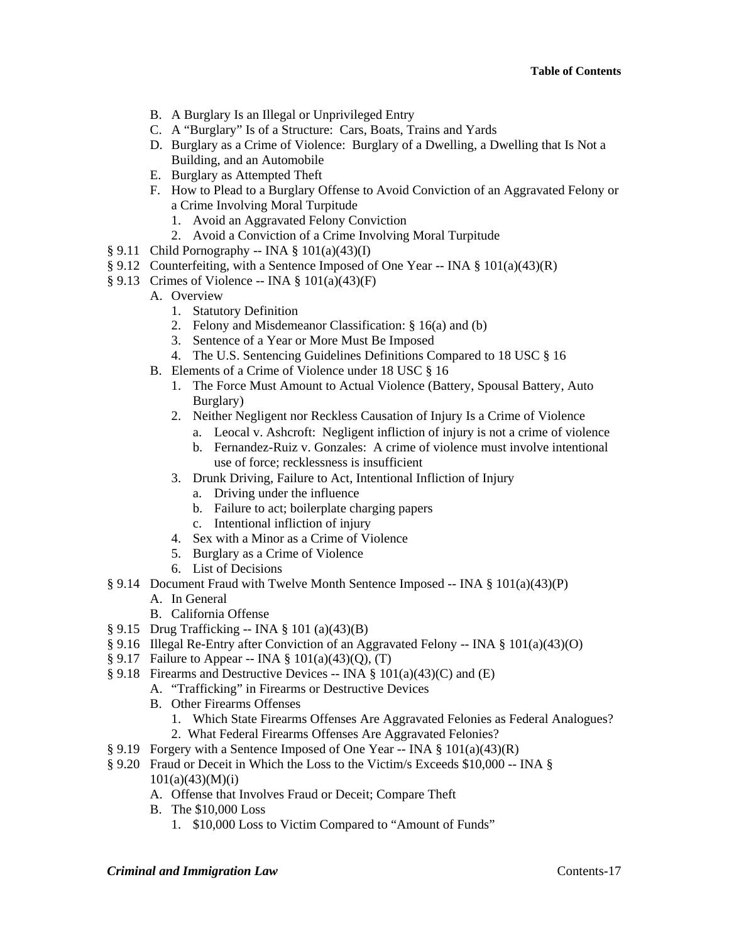- B. A Burglary Is an Illegal or Unprivileged Entry
- C. A "Burglary" Is of a Structure: Cars, Boats, Trains and Yards
- D. Burglary as a Crime of Violence: Burglary of a Dwelling, a Dwelling that Is Not a Building, and an Automobile
- E. Burglary as Attempted Theft
- F. How to Plead to a Burglary Offense to Avoid Conviction of an Aggravated Felony or a Crime Involving Moral Turpitude
	- 1. Avoid an Aggravated Felony Conviction
	- 2. Avoid a Conviction of a Crime Involving Moral Turpitude
- $§ 9.11$  Child Pornography -- INA  $§ 101(a)(43)(I)$
- § 9.12 Counterfeiting, with a Sentence Imposed of One Year -- INA §  $101(a)(43)(R)$
- $§ 9.13$  Crimes of Violence -- INA  $§ 101(a)(43)(F)$ 
	- A. Overview
		- 1. Statutory Definition
		- 2. Felony and Misdemeanor Classification: § 16(a) and (b)
		- 3. Sentence of a Year or More Must Be Imposed
		- 4. The U.S. Sentencing Guidelines Definitions Compared to 18 USC § 16
	- B. Elements of a Crime of Violence under 18 USC § 16
		- 1. The Force Must Amount to Actual Violence (Battery, Spousal Battery, Auto Burglary)
		- 2. Neither Negligent nor Reckless Causation of Injury Is a Crime of Violence
			- a. Leocal v. Ashcroft: Negligent infliction of injury is not a crime of violence
			- b. Fernandez-Ruiz v. Gonzales: A crime of violence must involve intentional use of force; recklessness is insufficient
		- 3. Drunk Driving, Failure to Act, Intentional Infliction of Injury
			- a. Driving under the influence
			- b. Failure to act; boilerplate charging papers
			- c. Intentional infliction of injury
		- 4. Sex with a Minor as a Crime of Violence
		- 5. Burglary as a Crime of Violence
		- 6. List of Decisions
- § 9.14 Document Fraud with Twelve Month Sentence Imposed -- INA § 101(a)(43)(P)
	- A. In General
	- B. California Offense
- § 9.15 Drug Trafficking -- INA § 101 (a)(43)(B)
- § 9.16 Illegal Re-Entry after Conviction of an Aggravated Felony -- INA § 101(a)(43)(O)
- § 9.17 Failure to Appear -- INA § 101(a)(43)(Q), (T)
- § 9.18 Firearms and Destructive Devices -- INA § 101(a)(43)(C) and (E)
	- A. "Trafficking" in Firearms or Destructive Devices
	- B. Other Firearms Offenses
		- 1. Which State Firearms Offenses Are Aggravated Felonies as Federal Analogues?
		- 2. What Federal Firearms Offenses Are Aggravated Felonies?
- § 9.19 Forgery with a Sentence Imposed of One Year -- INA § 101(a)(43)(R)
- § 9.20 Fraud or Deceit in Which the Loss to the Victim/s Exceeds \$10,000 -- INA §  $101(a)(43)(M)(i)$ 
	- A. Offense that Involves Fraud or Deceit; Compare Theft
	- B. The \$10,000 Loss
		- 1. \$10,000 Loss to Victim Compared to "Amount of Funds"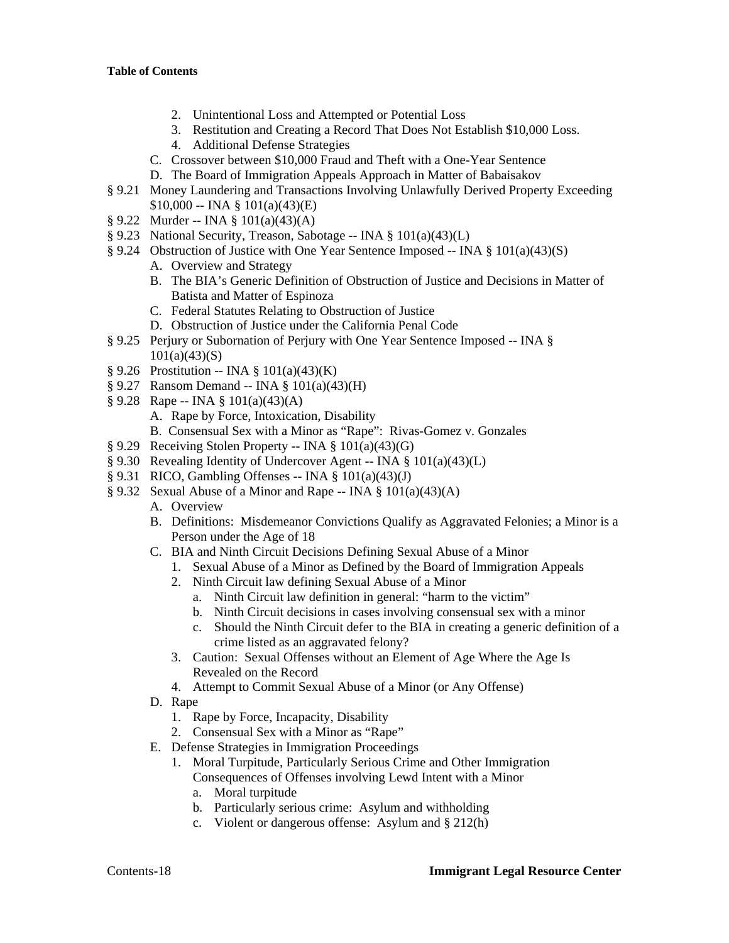- 2. Unintentional Loss and Attempted or Potential Loss
- 3. Restitution and Creating a Record That Does Not Establish \$10,000 Loss.
- 4. Additional Defense Strategies
- C. Crossover between \$10,000 Fraud and Theft with a One-Year Sentence
- D. The Board of Immigration Appeals Approach in Matter of Babaisakov
- § 9.21 Money Laundering and Transactions Involving Unlawfully Derived Property Exceeding  $$10,000 -$  INA  $$101(a)(43)(E)$
- § 9.22 Murder -- INA § 101(a)(43)(A)
- § 9.23 National Security, Treason, Sabotage -- INA § 101(a)(43)(L)
- § 9.24 Obstruction of Justice with One Year Sentence Imposed -- INA § 101(a)(43)(S)
	- A. Overview and Strategy
	- B. The BIA's Generic Definition of Obstruction of Justice and Decisions in Matter of Batista and Matter of Espinoza
	- C. Federal Statutes Relating to Obstruction of Justice
	- D. Obstruction of Justice under the California Penal Code
- § 9.25 Perjury or Subornation of Perjury with One Year Sentence Imposed -- INA §  $101(a)(43)(S)$
- $$9.26$  Prostitution -- INA  $$101(a)(43)(K)$
- § 9.27 Ransom Demand -- INA § 101(a)(43)(H)
- § 9.28 Rape -- INA § 101(a)(43)(A)
	- A. Rape by Force, Intoxication, Disability
	- B. Consensual Sex with a Minor as "Rape": Rivas-Gomez v. Gonzales
- § 9.29 Receiving Stolen Property -- INA § 101(a)(43)(G)
- § 9.30 Revealing Identity of Undercover Agent -- INA § 101(a)(43)(L)
- $§$  9.31 RICO, Gambling Offenses -- INA  $§$  101(a)(43)(J)
- § 9.32 Sexual Abuse of a Minor and Rape -- INA § 101(a)(43)(A)
	- A. Overview
	- B. Definitions: Misdemeanor Convictions Qualify as Aggravated Felonies; a Minor is a Person under the Age of 18
	- C. BIA and Ninth Circuit Decisions Defining Sexual Abuse of a Minor
		- 1. Sexual Abuse of a Minor as Defined by the Board of Immigration Appeals
		- 2. Ninth Circuit law defining Sexual Abuse of a Minor
			- a. Ninth Circuit law definition in general: "harm to the victim"
			- b. Ninth Circuit decisions in cases involving consensual sex with a minor
			- c. Should the Ninth Circuit defer to the BIA in creating a generic definition of a crime listed as an aggravated felony?
		- 3. Caution: Sexual Offenses without an Element of Age Where the Age Is Revealed on the Record
		- 4. Attempt to Commit Sexual Abuse of a Minor (or Any Offense)
	- D. Rape
		- 1. Rape by Force, Incapacity, Disability
		- 2. Consensual Sex with a Minor as "Rape"
	- E. Defense Strategies in Immigration Proceedings
		- 1. Moral Turpitude, Particularly Serious Crime and Other Immigration Consequences of Offenses involving Lewd Intent with a Minor
			- a. Moral turpitude
			- b. Particularly serious crime: Asylum and withholding
			- c. Violent or dangerous offense: Asylum and § 212(h)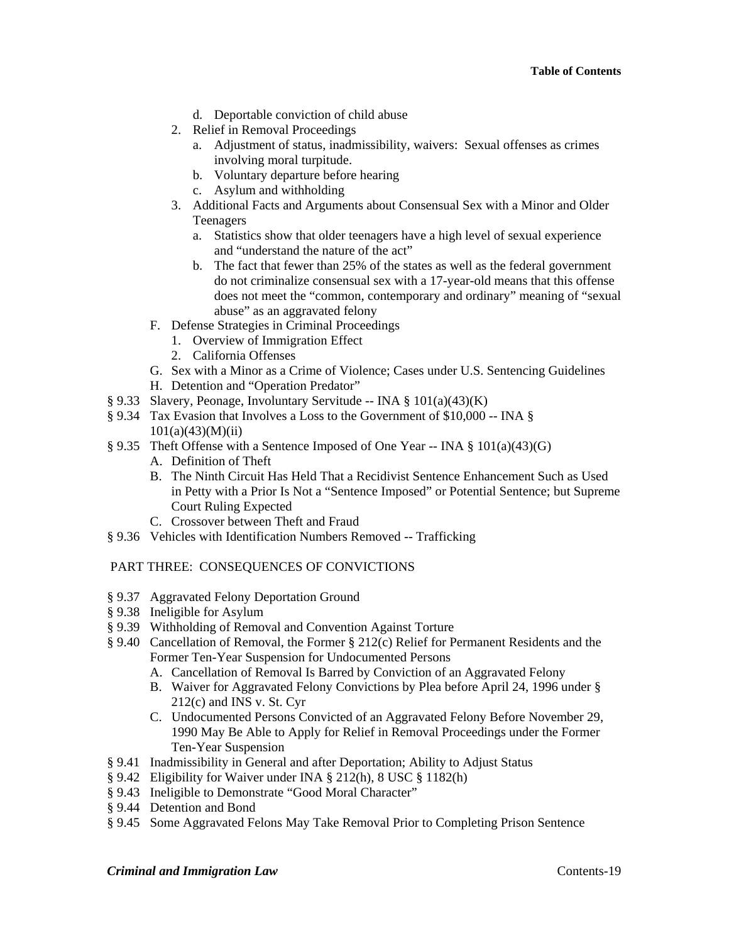- d. Deportable conviction of child abuse
- 2. Relief in Removal Proceedings
	- a. Adjustment of status, inadmissibility, waivers: Sexual offenses as crimes involving moral turpitude.
	- b. Voluntary departure before hearing
	- c. Asylum and withholding
- 3. Additional Facts and Arguments about Consensual Sex with a Minor and Older Teenagers
	- a. Statistics show that older teenagers have a high level of sexual experience and "understand the nature of the act"
	- b. The fact that fewer than 25% of the states as well as the federal government do not criminalize consensual sex with a 17-year-old means that this offense does not meet the "common, contemporary and ordinary" meaning of "sexual abuse" as an aggravated felony
- F. Defense Strategies in Criminal Proceedings
	- 1. Overview of Immigration Effect
	- 2. California Offenses
- G. Sex with a Minor as a Crime of Violence; Cases under U.S. Sentencing Guidelines
- H. Detention and "Operation Predator"
- § 9.33 Slavery, Peonage, Involuntary Servitude -- INA § 101(a)(43)(K)
- § 9.34 Tax Evasion that Involves a Loss to the Government of \$10,000 -- INA §  $101(a)(43)(M)(ii)$
- § 9.35 Theft Offense with a Sentence Imposed of One Year -- INA § 101(a)(43)(G)
	- A. Definition of Theft
	- B. The Ninth Circuit Has Held That a Recidivist Sentence Enhancement Such as Used in Petty with a Prior Is Not a "Sentence Imposed" or Potential Sentence; but Supreme Court Ruling Expected
	- C. Crossover between Theft and Fraud
- § 9.36 Vehicles with Identification Numbers Removed -- Trafficking

## PART THREE: CONSEQUENCES OF CONVICTIONS

- § 9.37 Aggravated Felony Deportation Ground
- § 9.38 Ineligible for Asylum
- § 9.39 Withholding of Removal and Convention Against Torture
- § 9.40 Cancellation of Removal, the Former § 212(c) Relief for Permanent Residents and the Former Ten-Year Suspension for Undocumented Persons
	- A. Cancellation of Removal Is Barred by Conviction of an Aggravated Felony
	- B. Waiver for Aggravated Felony Convictions by Plea before April 24, 1996 under § 212(c) and INS v. St. Cyr
	- C. Undocumented Persons Convicted of an Aggravated Felony Before November 29, 1990 May Be Able to Apply for Relief in Removal Proceedings under the Former Ten-Year Suspension
- § 9.41 Inadmissibility in General and after Deportation; Ability to Adjust Status
- § 9.42 Eligibility for Waiver under INA § 212(h), 8 USC § 1182(h)
- § 9.43 Ineligible to Demonstrate "Good Moral Character"
- § 9.44 Detention and Bond
- § 9.45 Some Aggravated Felons May Take Removal Prior to Completing Prison Sentence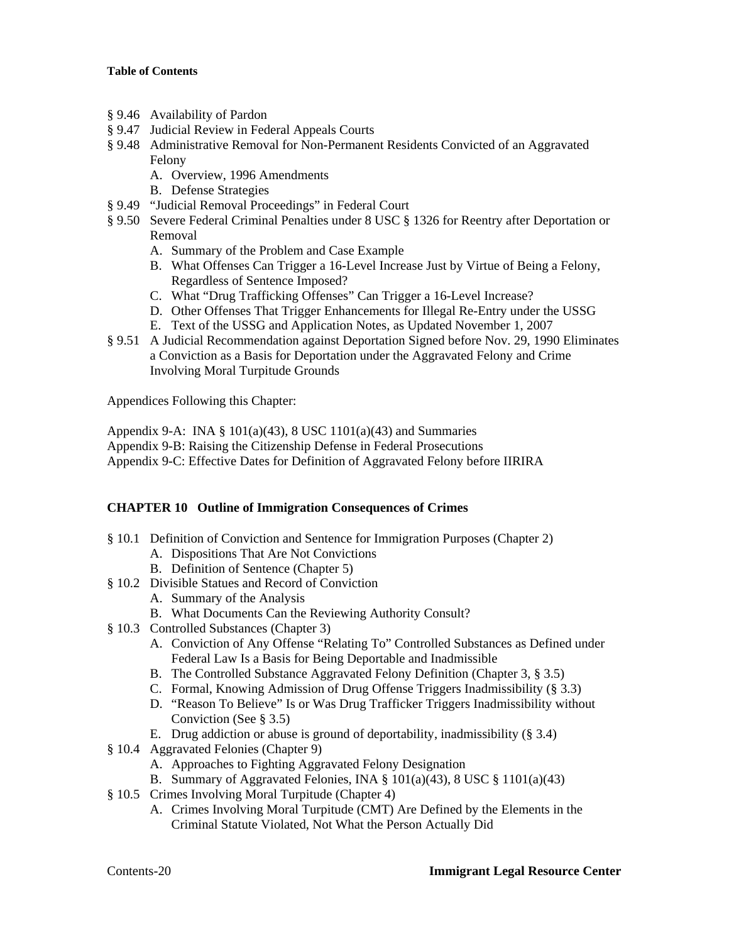- § 9.46 Availability of Pardon
- § 9.47 Judicial Review in Federal Appeals Courts
- § 9.48 Administrative Removal for Non-Permanent Residents Convicted of an Aggravated Felony
	- A. Overview, 1996 Amendments
	- B. Defense Strategies
- § 9.49 "Judicial Removal Proceedings" in Federal Court
- § 9.50 Severe Federal Criminal Penalties under 8 USC § 1326 for Reentry after Deportation or Removal
	- A. Summary of the Problem and Case Example
	- B. What Offenses Can Trigger a 16-Level Increase Just by Virtue of Being a Felony, Regardless of Sentence Imposed?
	- C. What "Drug Trafficking Offenses" Can Trigger a 16-Level Increase?
	- D. Other Offenses That Trigger Enhancements for Illegal Re-Entry under the USSG
	- E. Text of the USSG and Application Notes, as Updated November 1, 2007
- § 9.51 A Judicial Recommendation against Deportation Signed before Nov. 29, 1990 Eliminates a Conviction as a Basis for Deportation under the Aggravated Felony and Crime Involving Moral Turpitude Grounds

Appendices Following this Chapter:

Appendix 9-A: INA § 101(a)(43), 8 USC 1101(a)(43) and Summaries Appendix 9-B: Raising the Citizenship Defense in Federal Prosecutions Appendix 9-C: Effective Dates for Definition of Aggravated Felony before IIRIRA

## **CHAPTER 10 Outline of Immigration Consequences of Crimes**

- § 10.1 Definition of Conviction and Sentence for Immigration Purposes (Chapter 2)
	- A. Dispositions That Are Not Convictions
	- B. Definition of Sentence (Chapter 5)
- § 10.2 Divisible Statues and Record of Conviction
	- A. Summary of the Analysis
	- B. What Documents Can the Reviewing Authority Consult?
- § 10.3 Controlled Substances (Chapter 3)
	- A. Conviction of Any Offense "Relating To" Controlled Substances as Defined under Federal Law Is a Basis for Being Deportable and Inadmissible
	- B. The Controlled Substance Aggravated Felony Definition (Chapter 3, § 3.5)
	- C. Formal, Knowing Admission of Drug Offense Triggers Inadmissibility (§ 3.3)
	- D. "Reason To Believe" Is or Was Drug Trafficker Triggers Inadmissibility without Conviction (See § 3.5)
	- E. Drug addiction or abuse is ground of deportability, inadmissibility (§ 3.4)
- § 10.4 Aggravated Felonies (Chapter 9)
	- A. Approaches to Fighting Aggravated Felony Designation
	- B. Summary of Aggravated Felonies, INA  $\S$  101(a)(43), 8 USC  $\S$  1101(a)(43)
- § 10.5 Crimes Involving Moral Turpitude (Chapter 4)
	- A. Crimes Involving Moral Turpitude (CMT) Are Defined by the Elements in the Criminal Statute Violated, Not What the Person Actually Did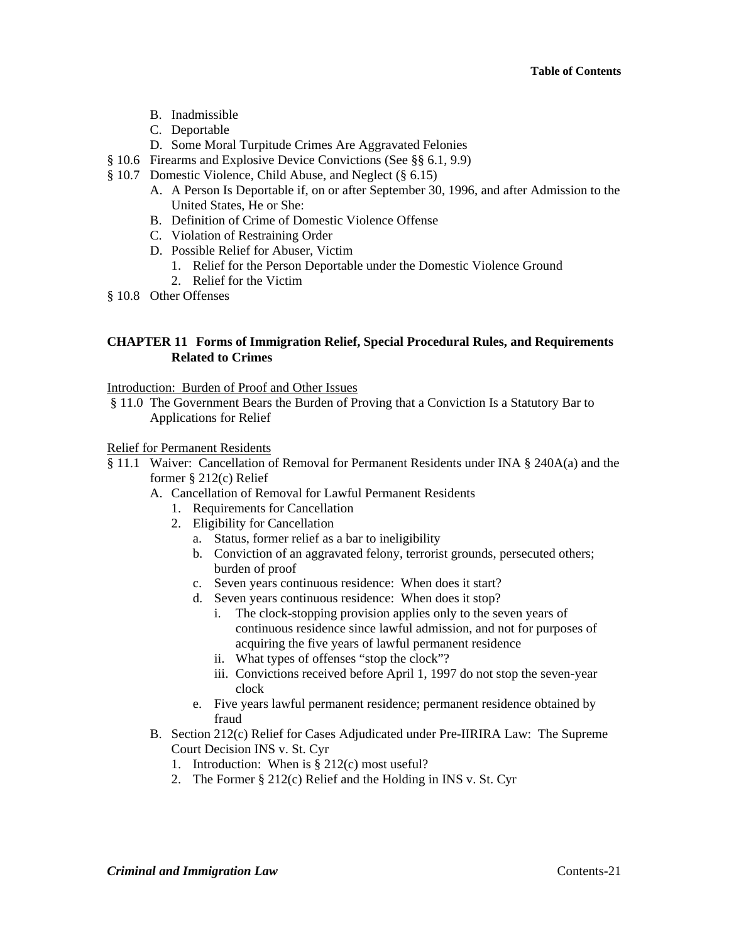- B. Inadmissible
- C. Deportable
- D. Some Moral Turpitude Crimes Are Aggravated Felonies
- § 10.6 Firearms and Explosive Device Convictions (See §§ 6.1, 9.9)
- § 10.7 Domestic Violence, Child Abuse, and Neglect (§ 6.15)
	- A. A Person Is Deportable if, on or after September 30, 1996, and after Admission to the United States, He or She:
	- B. Definition of Crime of Domestic Violence Offense
	- C. Violation of Restraining Order
	- D. Possible Relief for Abuser, Victim
		- 1. Relief for the Person Deportable under the Domestic Violence Ground
		- 2. Relief for the Victim
- § 10.8 Other Offenses

### **CHAPTER 11 Forms of Immigration Relief, Special Procedural Rules, and Requirements Related to Crimes**

#### Introduction: Burden of Proof and Other Issues

 § 11.0 The Government Bears the Burden of Proving that a Conviction Is a Statutory Bar to Applications for Relief

#### Relief for Permanent Residents

- § 11.1 Waiver: Cancellation of Removal for Permanent Residents under INA § 240A(a) and the former § 212(c) Relief
	- A. Cancellation of Removal for Lawful Permanent Residents
		- 1. Requirements for Cancellation
		- 2. Eligibility for Cancellation
			- a. Status, former relief as a bar to ineligibility
			- b. Conviction of an aggravated felony, terrorist grounds, persecuted others; burden of proof
			- c. Seven years continuous residence: When does it start?
			- d. Seven years continuous residence: When does it stop?
				- i. The clock-stopping provision applies only to the seven years of continuous residence since lawful admission, and not for purposes of acquiring the five years of lawful permanent residence
				- ii. What types of offenses "stop the clock"?
				- iii. Convictions received before April 1, 1997 do not stop the seven-year clock
			- e. Five years lawful permanent residence; permanent residence obtained by fraud
	- B. Section 212(c) Relief for Cases Adjudicated under Pre-IIRIRA Law: The Supreme Court Decision INS v. St. Cyr
		- 1. Introduction: When is § 212(c) most useful?
		- 2. The Former § 212(c) Relief and the Holding in INS v. St. Cyr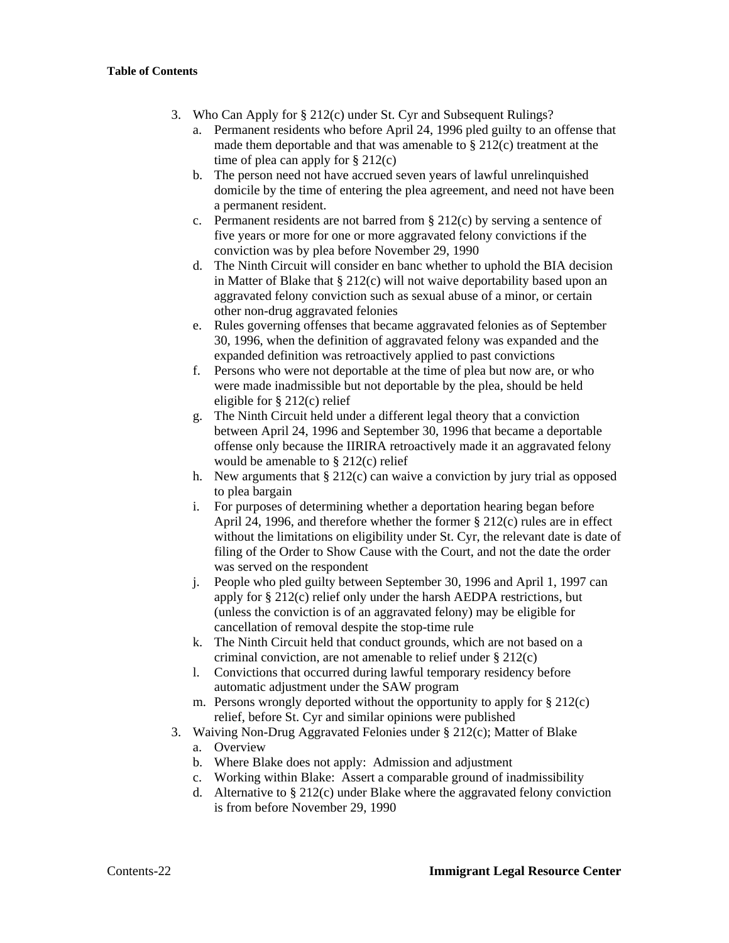- 3. Who Can Apply for § 212(c) under St. Cyr and Subsequent Rulings?
	- a. Permanent residents who before April 24, 1996 pled guilty to an offense that made them deportable and that was amenable to  $\S 212(c)$  treatment at the time of plea can apply for  $\S 212(c)$
	- b. The person need not have accrued seven years of lawful unrelinquished domicile by the time of entering the plea agreement, and need not have been a permanent resident.
	- c. Permanent residents are not barred from § 212(c) by serving a sentence of five years or more for one or more aggravated felony convictions if the conviction was by plea before November 29, 1990
	- d. The Ninth Circuit will consider en banc whether to uphold the BIA decision in Matter of Blake that  $\S 212(c)$  will not waive deportability based upon an aggravated felony conviction such as sexual abuse of a minor, or certain other non-drug aggravated felonies
	- e. Rules governing offenses that became aggravated felonies as of September 30, 1996, when the definition of aggravated felony was expanded and the expanded definition was retroactively applied to past convictions
	- f. Persons who were not deportable at the time of plea but now are, or who were made inadmissible but not deportable by the plea, should be held eligible for § 212(c) relief
	- g. The Ninth Circuit held under a different legal theory that a conviction between April 24, 1996 and September 30, 1996 that became a deportable offense only because the IIRIRA retroactively made it an aggravated felony would be amenable to § 212(c) relief
	- h. New arguments that  $\S 212(c)$  can waive a conviction by jury trial as opposed to plea bargain
	- i. For purposes of determining whether a deportation hearing began before April 24, 1996, and therefore whether the former § 212(c) rules are in effect without the limitations on eligibility under St. Cyr, the relevant date is date of filing of the Order to Show Cause with the Court, and not the date the order was served on the respondent
	- j. People who pled guilty between September 30, 1996 and April 1, 1997 can apply for § 212(c) relief only under the harsh AEDPA restrictions, but (unless the conviction is of an aggravated felony) may be eligible for cancellation of removal despite the stop-time rule
	- k. The Ninth Circuit held that conduct grounds, which are not based on a criminal conviction, are not amenable to relief under § 212(c)
	- l. Convictions that occurred during lawful temporary residency before automatic adjustment under the SAW program
	- m. Persons wrongly deported without the opportunity to apply for  $\S 212(c)$ relief, before St. Cyr and similar opinions were published
- 3. Waiving Non-Drug Aggravated Felonies under § 212(c); Matter of Blake
	- a. Overview
	- b. Where Blake does not apply: Admission and adjustment
	- c. Working within Blake: Assert a comparable ground of inadmissibility
	- d. Alternative to § 212(c) under Blake where the aggravated felony conviction is from before November 29, 1990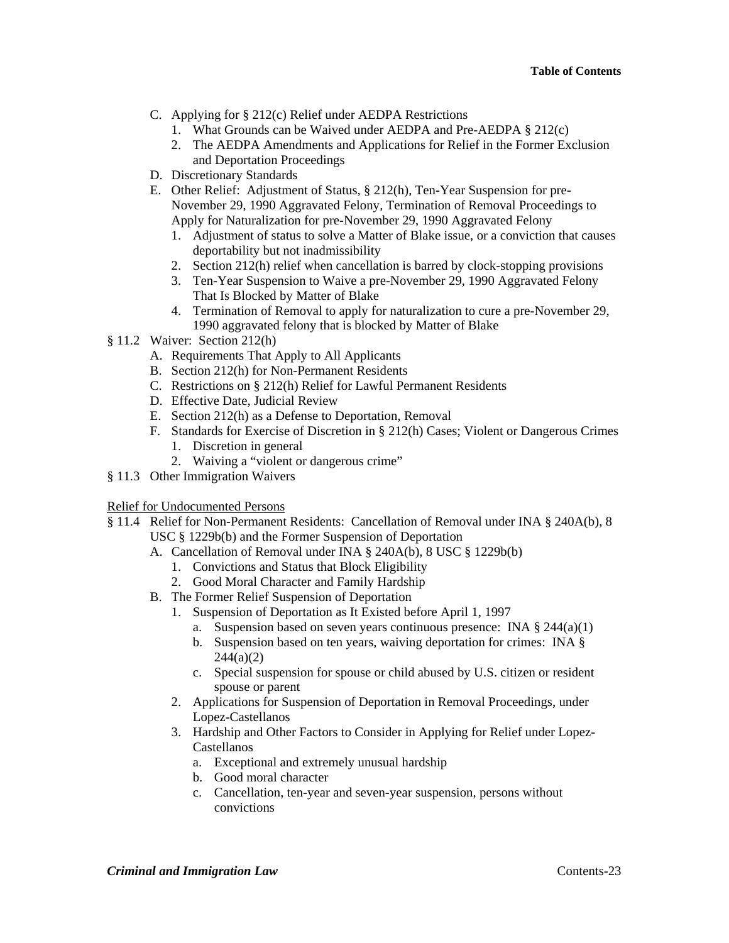- C. Applying for § 212(c) Relief under AEDPA Restrictions
	- 1. What Grounds can be Waived under AEDPA and Pre-AEDPA § 212(c)
	- 2. The AEDPA Amendments and Applications for Relief in the Former Exclusion and Deportation Proceedings
- D. Discretionary Standards
- E. Other Relief: Adjustment of Status, § 212(h), Ten-Year Suspension for pre-November 29, 1990 Aggravated Felony, Termination of Removal Proceedings to Apply for Naturalization for pre-November 29, 1990 Aggravated Felony
	- 1. Adjustment of status to solve a Matter of Blake issue, or a conviction that causes deportability but not inadmissibility
	- 2. Section 212(h) relief when cancellation is barred by clock-stopping provisions
	- 3. Ten-Year Suspension to Waive a pre-November 29, 1990 Aggravated Felony That Is Blocked by Matter of Blake
	- 4. Termination of Removal to apply for naturalization to cure a pre-November 29, 1990 aggravated felony that is blocked by Matter of Blake
- § 11.2 Waiver: Section 212(h)
	- A. Requirements That Apply to All Applicants
	- B. Section 212(h) for Non-Permanent Residents
	- C. Restrictions on § 212(h) Relief for Lawful Permanent Residents
	- D. Effective Date, Judicial Review
	- E. Section 212(h) as a Defense to Deportation, Removal
	- F. Standards for Exercise of Discretion in § 212(h) Cases; Violent or Dangerous Crimes 1. Discretion in general
		- 2. Waiving a "violent or dangerous crime"
- § 11.3 Other Immigration Waivers

## Relief for Undocumented Persons

- § 11.4 Relief for Non-Permanent Residents: Cancellation of Removal under INA § 240A(b), 8 USC § 1229b(b) and the Former Suspension of Deportation
	- A. Cancellation of Removal under INA § 240A(b), 8 USC § 1229b(b)
		- 1. Convictions and Status that Block Eligibility
		- 2. Good Moral Character and Family Hardship
	- B. The Former Relief Suspension of Deportation
		- 1. Suspension of Deportation as It Existed before April 1, 1997
			- a. Suspension based on seven years continuous presence: INA § 244(a)(1)
			- b. Suspension based on ten years, waiving deportation for crimes: INA §  $244(a)(2)$
			- c. Special suspension for spouse or child abused by U.S. citizen or resident spouse or parent
		- 2. Applications for Suspension of Deportation in Removal Proceedings, under Lopez-Castellanos
		- 3. Hardship and Other Factors to Consider in Applying for Relief under Lopez-Castellanos
			- a. Exceptional and extremely unusual hardship
			- b. Good moral character
			- c. Cancellation, ten-year and seven-year suspension, persons without convictions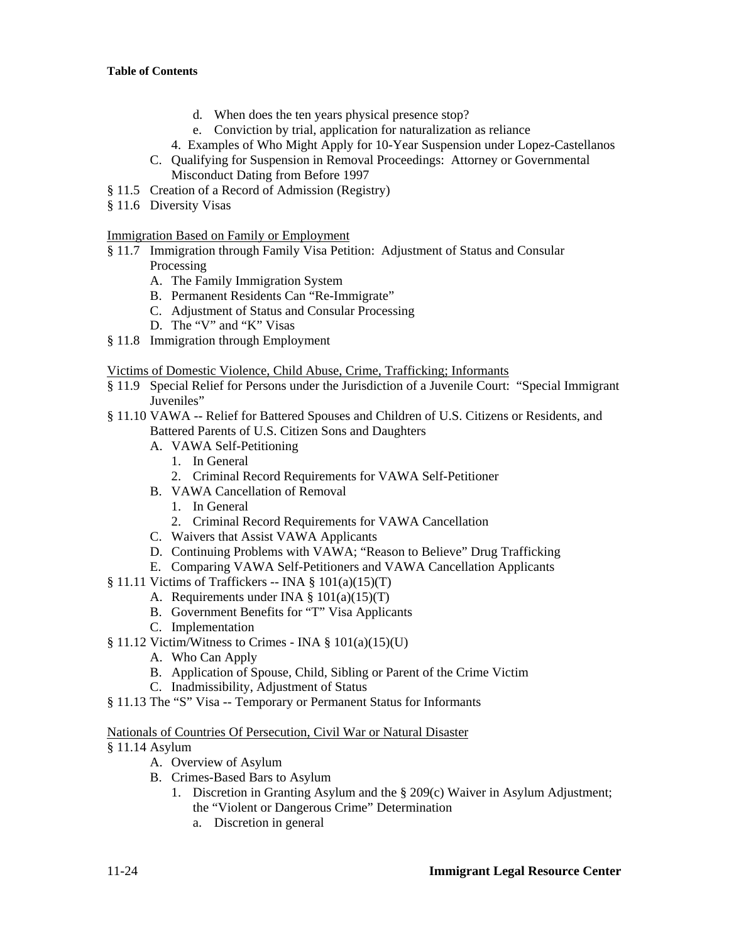- d. When does the ten years physical presence stop?
- e. Conviction by trial, application for naturalization as reliance
- 4. Examples of Who Might Apply for 10-Year Suspension under Lopez-Castellanos
- C. Qualifying for Suspension in Removal Proceedings: Attorney or Governmental Misconduct Dating from Before 1997
- § 11.5 Creation of a Record of Admission (Registry)
- § 11.6 Diversity Visas

Immigration Based on Family or Employment

- § 11.7 Immigration through Family Visa Petition: Adjustment of Status and Consular Processing
	- A. The Family Immigration System
	- B. Permanent Residents Can "Re-Immigrate"
	- C. Adjustment of Status and Consular Processing
	- D. The "V" and "K" Visas
- § 11.8 Immigration through Employment

Victims of Domestic Violence, Child Abuse, Crime, Trafficking; Informants

- § 11.9 Special Relief for Persons under the Jurisdiction of a Juvenile Court: "Special Immigrant Juveniles"
- § 11.10 VAWA -- Relief for Battered Spouses and Children of U.S. Citizens or Residents, and Battered Parents of U.S. Citizen Sons and Daughters
	- A. VAWA Self-Petitioning
		- 1. In General
		- 2. Criminal Record Requirements for VAWA Self-Petitioner
	- B. VAWA Cancellation of Removal
		- 1. In General
		- 2. Criminal Record Requirements for VAWA Cancellation
	- C. Waivers that Assist VAWA Applicants
	- D. Continuing Problems with VAWA; "Reason to Believe" Drug Trafficking
	- E. Comparing VAWA Self-Petitioners and VAWA Cancellation Applicants
- $§ 11.11$  Victims of Traffickers -- INA  $§ 101(a)(15)(T)$ 
	- A. Requirements under INA § 101(a)(15)(T)
	- B. Government Benefits for "T" Visa Applicants
	- C. Implementation
- $§ 11.12$  Victim/Witness to Crimes INA  $§ 101(a)(15)(U)$ 
	- A. Who Can Apply
	- B. Application of Spouse, Child, Sibling or Parent of the Crime Victim
	- C. Inadmissibility, Adjustment of Status
- § 11.13 The "S" Visa -- Temporary or Permanent Status for Informants

## Nationals of Countries Of Persecution, Civil War or Natural Disaster

- § 11.14 Asylum
	- A. Overview of Asylum
	- B. Crimes-Based Bars to Asylum
		- 1. Discretion in Granting Asylum and the § 209(c) Waiver in Asylum Adjustment; the "Violent or Dangerous Crime" Determination
			- a. Discretion in general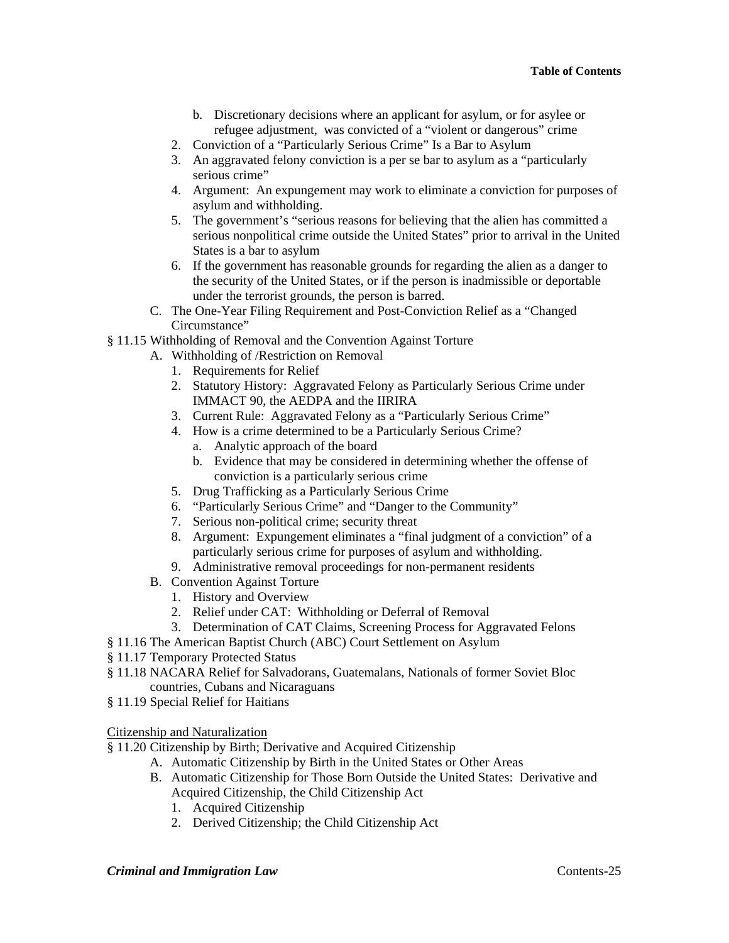- b. Discretionary decisions where an applicant for asylum, or for asylee or refugee adjustment, was convicted of a "violent or dangerous" crime
- 2. Conviction of a "Particularly Serious Crime" Is a Bar to Asylum
- 3. An aggravated felony conviction is a per se bar to asylum as a "particularly serious crime"
- 4. Argument: An expungement may work to eliminate a conviction for purposes of asylum and withholding.
- 5. The government's "serious reasons for believing that the alien has committed a serious nonpolitical crime outside the United States" prior to arrival in the United States is a bar to asylum
- 6. If the government has reasonable grounds for regarding the alien as a danger to the security of the United States, or if the person is inadmissible or deportable under the terrorist grounds, the person is barred.
- C. The One-Year Filing Requirement and Post-Conviction Relief as a "Changed Circumstance"
- § 11.15 Withholding of Removal and the Convention Against Torture
	- A. Withholding of /Restriction on Removal
		- 1. Requirements for Relief
		- 2. Statutory History: Aggravated Felony as Particularly Serious Crime under IMMACT 90, the AEDPA and the IIRIRA
		- 3. Current Rule: Aggravated Felony as a "Particularly Serious Crime"
		- 4. How is a crime determined to be a Particularly Serious Crime?
			- a. Analytic approach of the board
			- b. Evidence that may be considered in determining whether the offense of conviction is a particularly serious crime
		- 5. Drug Trafficking as a Particularly Serious Crime
		- 6. "Particularly Serious Crime" and "Danger to the Community"
		- 7. Serious non-political crime; security threat
		- 8. Argument: Expungement eliminates a "final judgment of a conviction" of a particularly serious crime for purposes of asylum and withholding.
		- 9. Administrative removal proceedings for non-permanent residents
	- B. Convention Against Torture
		- 1. History and Overview
		- 2. Relief under CAT: Withholding or Deferral of Removal
	- 3. Determination of CAT Claims, Screening Process for Aggravated Felons
- § 11.16 The American Baptist Church (ABC) Court Settlement on Asylum
- § 11.17 Temporary Protected Status
- § 11.18 NACARA Relief for Salvadorans, Guatemalans, Nationals of former Soviet Bloc countries, Cubans and Nicaraguans
- § 11.19 Special Relief for Haitians

## Citizenship and Naturalization

- § 11.20 Citizenship by Birth; Derivative and Acquired Citizenship
	- A. Automatic Citizenship by Birth in the United States or Other Areas
	- B. Automatic Citizenship for Those Born Outside the United States: Derivative and Acquired Citizenship, the Child Citizenship Act
		- 1. Acquired Citizenship
		- 2. Derived Citizenship; the Child Citizenship Act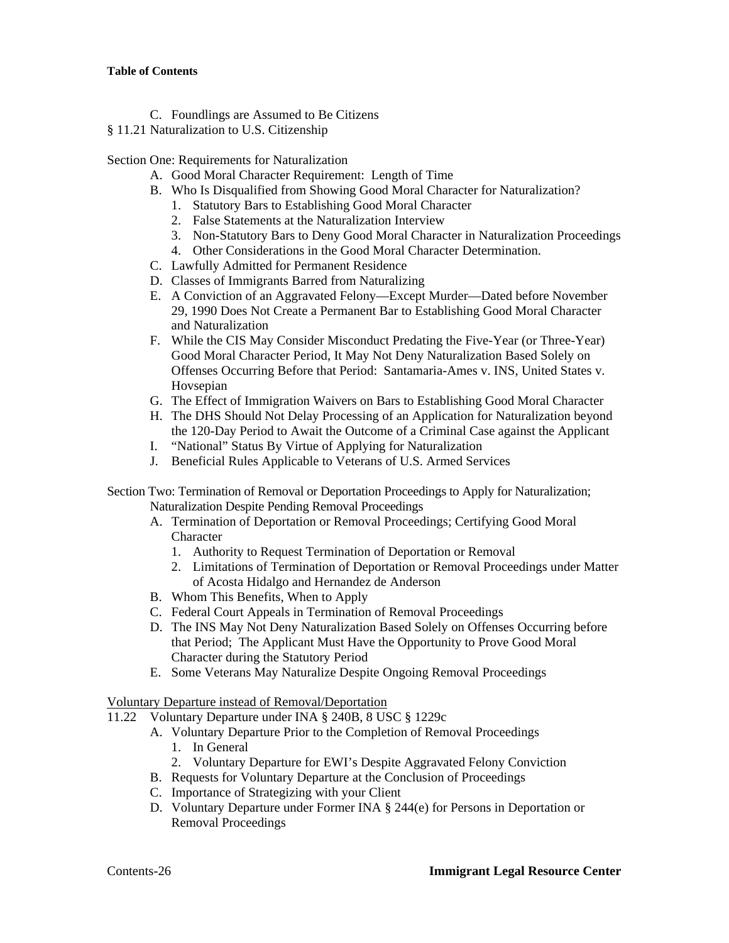- C. Foundlings are Assumed to Be Citizens
- § 11.21 Naturalization to U.S. Citizenship

Section One: Requirements for Naturalization

- A. Good Moral Character Requirement: Length of Time
- B. Who Is Disqualified from Showing Good Moral Character for Naturalization?
	- 1. Statutory Bars to Establishing Good Moral Character
	- 2. False Statements at the Naturalization Interview
	- 3. Non-Statutory Bars to Deny Good Moral Character in Naturalization Proceedings
	- 4. Other Considerations in the Good Moral Character Determination.
- C. Lawfully Admitted for Permanent Residence
- D. Classes of Immigrants Barred from Naturalizing
- E. A Conviction of an Aggravated Felony—Except Murder—Dated before November 29, 1990 Does Not Create a Permanent Bar to Establishing Good Moral Character and Naturalization
- F. While the CIS May Consider Misconduct Predating the Five-Year (or Three-Year) Good Moral Character Period, It May Not Deny Naturalization Based Solely on Offenses Occurring Before that Period: Santamaria-Ames v. INS, United States v. Hovsepian
- G. The Effect of Immigration Waivers on Bars to Establishing Good Moral Character
- H. The DHS Should Not Delay Processing of an Application for Naturalization beyond the 120-Day Period to Await the Outcome of a Criminal Case against the Applicant
- I. "National" Status By Virtue of Applying for Naturalization
- J. Beneficial Rules Applicable to Veterans of U.S. Armed Services

Section Two: Termination of Removal or Deportation Proceedings to Apply for Naturalization; Naturalization Despite Pending Removal Proceedings

- A. Termination of Deportation or Removal Proceedings; Certifying Good Moral Character
	- 1. Authority to Request Termination of Deportation or Removal
	- 2. Limitations of Termination of Deportation or Removal Proceedings under Matter of Acosta Hidalgo and Hernandez de Anderson
- B. Whom This Benefits, When to Apply
- C. Federal Court Appeals in Termination of Removal Proceedings
- D. The INS May Not Deny Naturalization Based Solely on Offenses Occurring before that Period; The Applicant Must Have the Opportunity to Prove Good Moral Character during the Statutory Period
- E. Some Veterans May Naturalize Despite Ongoing Removal Proceedings

Voluntary Departure instead of Removal/Deportation

- 11.22 Voluntary Departure under INA § 240B, 8 USC § 1229c
	- A. Voluntary Departure Prior to the Completion of Removal Proceedings
		- 1. In General
		- 2. Voluntary Departure for EWI's Despite Aggravated Felony Conviction
	- B. Requests for Voluntary Departure at the Conclusion of Proceedings
	- C. Importance of Strategizing with your Client
	- D. Voluntary Departure under Former INA § 244(e) for Persons in Deportation or Removal Proceedings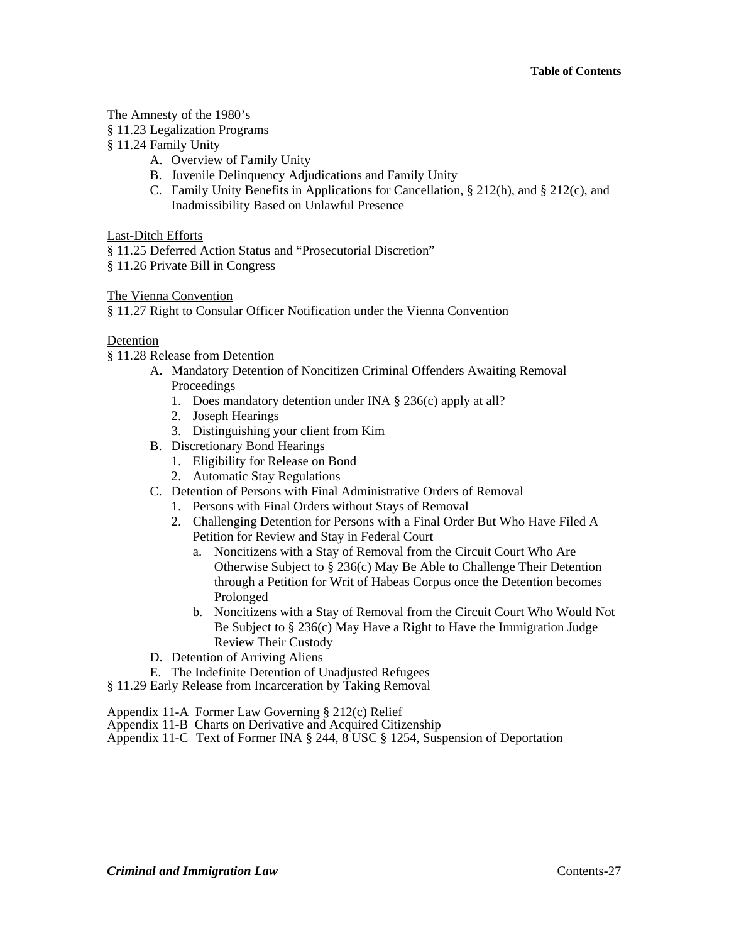The Amnesty of the 1980's

- § 11.23 Legalization Programs
- § 11.24 Family Unity
	- A. Overview of Family Unity
	- B. Juvenile Delinquency Adjudications and Family Unity
	- C. Family Unity Benefits in Applications for Cancellation, § 212(h), and § 212(c), and Inadmissibility Based on Unlawful Presence

Last-Ditch Efforts

§ 11.25 Deferred Action Status and "Prosecutorial Discretion"

§ 11.26 Private Bill in Congress

The Vienna Convention

§ 11.27 Right to Consular Officer Notification under the Vienna Convention

### Detention

§ 11.28 Release from Detention

- A. Mandatory Detention of Noncitizen Criminal Offenders Awaiting Removal Proceedings
	- 1. Does mandatory detention under INA § 236(c) apply at all?
	- 2. Joseph Hearings
	- 3. Distinguishing your client from Kim
- B. Discretionary Bond Hearings
	- 1. Eligibility for Release on Bond
	- 2. Automatic Stay Regulations
- C. Detention of Persons with Final Administrative Orders of Removal
	- 1. Persons with Final Orders without Stays of Removal
	- 2. Challenging Detention for Persons with a Final Order But Who Have Filed A Petition for Review and Stay in Federal Court
		- a. Noncitizens with a Stay of Removal from the Circuit Court Who Are Otherwise Subject to § 236(c) May Be Able to Challenge Their Detention through a Petition for Writ of Habeas Corpus once the Detention becomes Prolonged
		- b. Noncitizens with a Stay of Removal from the Circuit Court Who Would Not Be Subject to § 236(c) May Have a Right to Have the Immigration Judge Review Their Custody
- D. Detention of Arriving Aliens
- E. The Indefinite Detention of Unadjusted Refugees
- § 11.29 Early Release from Incarceration by Taking Removal
- Appendix 11-A Former Law Governing § 212(c) Relief
- Appendix 11-B Charts on Derivative and Acquired Citizenship
- Appendix 11-C Text of Former INA § 244, 8 USC § 1254, Suspension of Deportation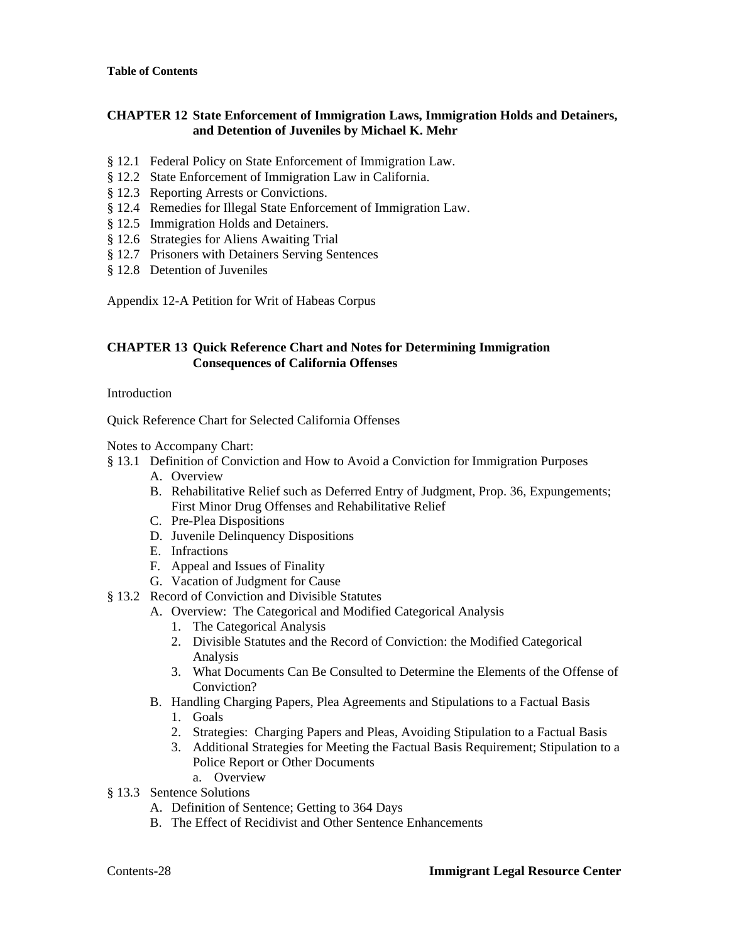## **CHAPTER 12 State Enforcement of Immigration Laws, Immigration Holds and Detainers, and Detention of Juveniles by Michael K. Mehr**

- § 12.1 Federal Policy on State Enforcement of Immigration Law.
- § 12.2 State Enforcement of Immigration Law in California.
- § 12.3 Reporting Arrests or Convictions.
- § 12.4 Remedies for Illegal State Enforcement of Immigration Law.
- § 12.5 Immigration Holds and Detainers.
- § 12.6 Strategies for Aliens Awaiting Trial
- § 12.7 Prisoners with Detainers Serving Sentences
- § 12.8 Detention of Juveniles

Appendix 12-A Petition for Writ of Habeas Corpus

## **CHAPTER 13 Quick Reference Chart and Notes for Determining Immigration Consequences of California Offenses**

Introduction

Quick Reference Chart for Selected California Offenses

Notes to Accompany Chart:

- § 13.1 Definition of Conviction and How to Avoid a Conviction for Immigration Purposes
	- A. Overview
	- B. Rehabilitative Relief such as Deferred Entry of Judgment, Prop. 36, Expungements; First Minor Drug Offenses and Rehabilitative Relief
	- C. Pre-Plea Dispositions
	- D. Juvenile Delinquency Dispositions
	- E. Infractions
	- F. Appeal and Issues of Finality
	- G. Vacation of Judgment for Cause
- § 13.2 Record of Conviction and Divisible Statutes
	- A. Overview: The Categorical and Modified Categorical Analysis
		- 1. The Categorical Analysis
		- 2. Divisible Statutes and the Record of Conviction: the Modified Categorical Analysis
		- 3. What Documents Can Be Consulted to Determine the Elements of the Offense of Conviction?
	- B. Handling Charging Papers, Plea Agreements and Stipulations to a Factual Basis
		- 1. Goals
		- 2. Strategies: Charging Papers and Pleas, Avoiding Stipulation to a Factual Basis
		- 3. Additional Strategies for Meeting the Factual Basis Requirement; Stipulation to a Police Report or Other Documents
			- a. Overview
- § 13.3 Sentence Solutions
	- A. Definition of Sentence; Getting to 364 Days
	- B. The Effect of Recidivist and Other Sentence Enhancements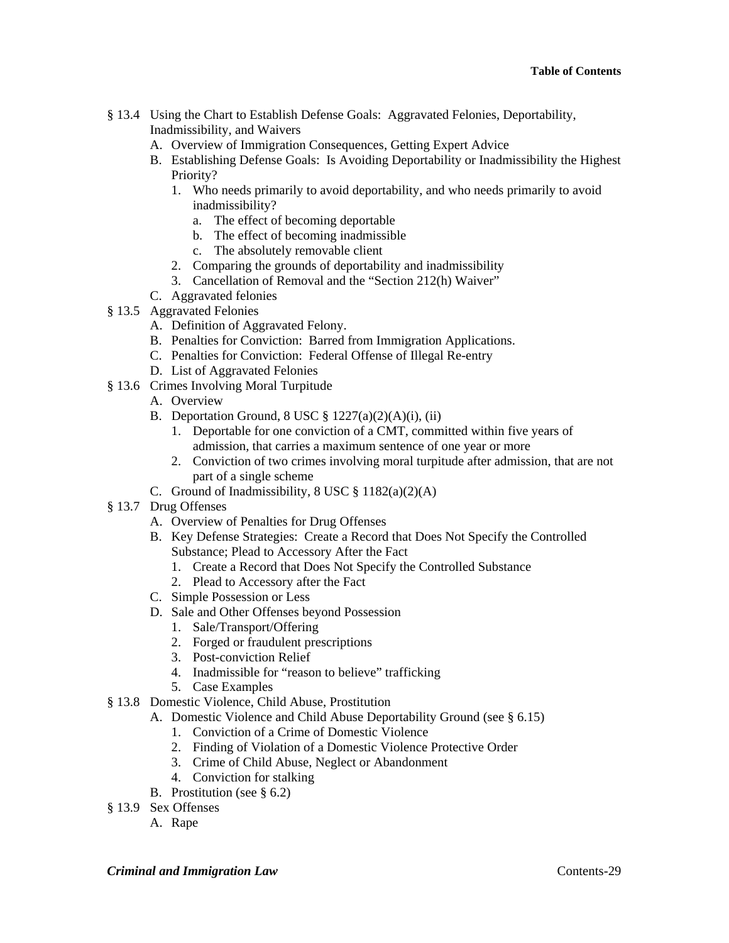- § 13.4 Using the Chart to Establish Defense Goals: Aggravated Felonies, Deportability, Inadmissibility, and Waivers
	- A. Overview of Immigration Consequences, Getting Expert Advice
	- B. Establishing Defense Goals: Is Avoiding Deportability or Inadmissibility the Highest Priority?
		- 1. Who needs primarily to avoid deportability, and who needs primarily to avoid inadmissibility?
			- a. The effect of becoming deportable
			- b. The effect of becoming inadmissible
			- c. The absolutely removable client
		- 2. Comparing the grounds of deportability and inadmissibility
		- 3. Cancellation of Removal and the "Section 212(h) Waiver"
	- C. Aggravated felonies
- § 13.5 Aggravated Felonies
	- A. Definition of Aggravated Felony.
	- B. Penalties for Conviction: Barred from Immigration Applications.
	- C. Penalties for Conviction: Federal Offense of Illegal Re-entry
	- D. List of Aggravated Felonies
- § 13.6 Crimes Involving Moral Turpitude
	- A. Overview
	- B. Deportation Ground,  $8$  USC  $\frac{8}{9}$  1227(a)(2)(A)(i), (ii)
		- 1. Deportable for one conviction of a CMT, committed within five years of admission, that carries a maximum sentence of one year or more
		- 2. Conviction of two crimes involving moral turpitude after admission, that are not part of a single scheme
	- C. Ground of Inadmissibility,  $8$  USC  $\frac{8}{9}$  1182(a)(2)(A)
- § 13.7 Drug Offenses
	- A. Overview of Penalties for Drug Offenses
	- B. Key Defense Strategies: Create a Record that Does Not Specify the Controlled Substance; Plead to Accessory After the Fact
		- 1. Create a Record that Does Not Specify the Controlled Substance
		- 2. Plead to Accessory after the Fact
	- C. Simple Possession or Less
	- D. Sale and Other Offenses beyond Possession
		- 1. Sale/Transport/Offering
		- 2. Forged or fraudulent prescriptions
		- 3. Post-conviction Relief
		- 4. Inadmissible for "reason to believe" trafficking
		- 5. Case Examples

## § 13.8 Domestic Violence, Child Abuse, Prostitution

- A. Domestic Violence and Child Abuse Deportability Ground (see § 6.15)
	- 1. Conviction of a Crime of Domestic Violence
	- 2. Finding of Violation of a Domestic Violence Protective Order
	- 3. Crime of Child Abuse, Neglect or Abandonment
	- 4. Conviction for stalking
	- B. Prostitution (see § 6.2)
- § 13.9 Sex Offenses
	- A. Rape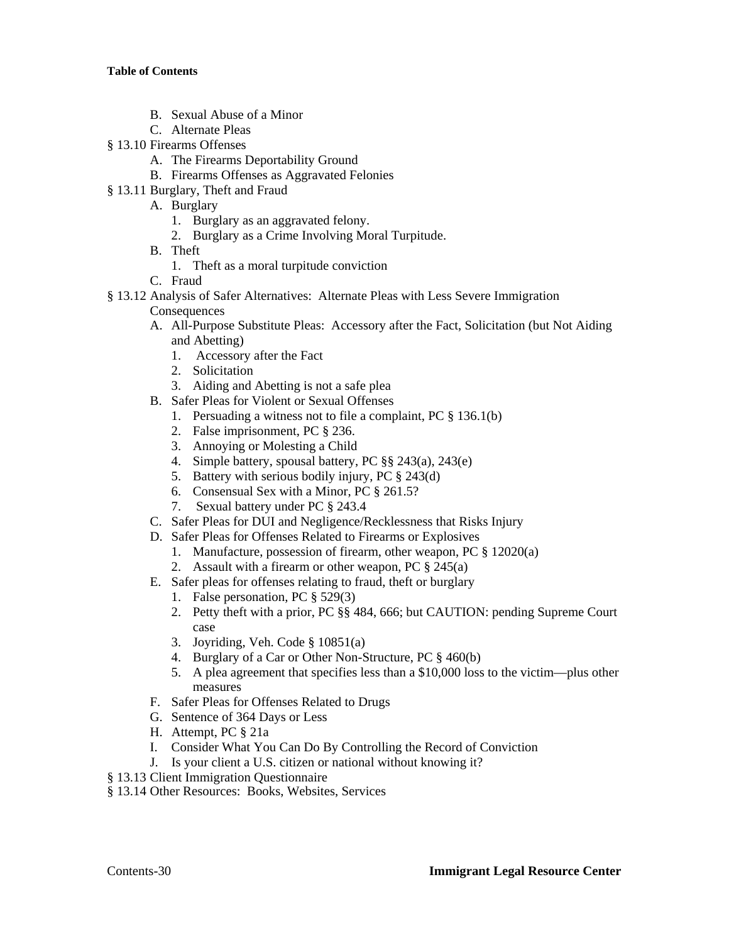- B. Sexual Abuse of a Minor
- C. Alternate Pleas
- § 13.10 Firearms Offenses
	- A. The Firearms Deportability Ground
	- B. Firearms Offenses as Aggravated Felonies
- § 13.11 Burglary, Theft and Fraud
	- A. Burglary
		- 1. Burglary as an aggravated felony.
		- 2. Burglary as a Crime Involving Moral Turpitude.
	- B. Theft
		- 1. Theft as a moral turpitude conviction
	- C. Fraud
- § 13.12 Analysis of Safer Alternatives: Alternate Pleas with Less Severe Immigration

## **Consequences**

- A. All-Purpose Substitute Pleas: Accessory after the Fact, Solicitation (but Not Aiding and Abetting)
	- 1. Accessory after the Fact
	- 2. Solicitation
	- 3. Aiding and Abetting is not a safe plea
- B. Safer Pleas for Violent or Sexual Offenses
	- 1. Persuading a witness not to file a complaint, PC § 136.1(b)
	- 2. False imprisonment, PC § 236.
	- 3. Annoying or Molesting a Child
	- 4. Simple battery, spousal battery, PC §§ 243(a), 243(e)
	- 5. Battery with serious bodily injury, PC § 243(d)
	- 6. Consensual Sex with a Minor, PC § 261.5?
	- 7. Sexual battery under PC § 243.4
- C. Safer Pleas for DUI and Negligence/Recklessness that Risks Injury
- D. Safer Pleas for Offenses Related to Firearms or Explosives
	- 1. Manufacture, possession of firearm, other weapon, PC § 12020(a)
	- 2. Assault with a firearm or other weapon, PC § 245(a)
- E. Safer pleas for offenses relating to fraud, theft or burglary
	- 1. False personation, PC § 529(3)
	- 2. Petty theft with a prior, PC §§ 484, 666; but CAUTION: pending Supreme Court case
	- 3. Joyriding, Veh. Code § 10851(a)
	- 4. Burglary of a Car or Other Non-Structure, PC § 460(b)
	- 5. A plea agreement that specifies less than a \$10,000 loss to the victim—plus other measures
- F. Safer Pleas for Offenses Related to Drugs
- G. Sentence of 364 Days or Less
- H. Attempt, PC § 21a
- I. Consider What You Can Do By Controlling the Record of Conviction
- J. Is your client a U.S. citizen or national without knowing it?
- § 13.13 Client Immigration Questionnaire
- § 13.14 Other Resources: Books, Websites, Services